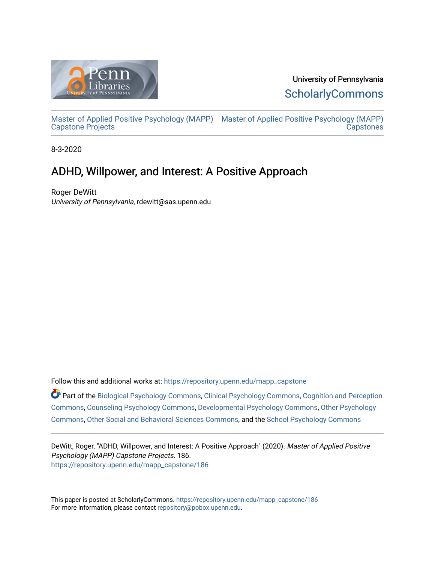

University of Pennsylvania **ScholarlyCommons** 

[Master of Applied Positive Psychology \(MAPP\)](https://repository.upenn.edu/mapp_capstone) [Master of Applied Positive Psychology \(MAPP\)](https://repository.upenn.edu/mapp_capstones)  [Capstone Projects](https://repository.upenn.edu/mapp_capstone)  **Capstones** 

8-3-2020

# ADHD, Willpower, and Interest: A Positive Approach

Roger DeWitt University of Pennsylvania, rdewitt@sas.upenn.edu

Follow this and additional works at: [https://repository.upenn.edu/mapp\\_capstone](https://repository.upenn.edu/mapp_capstone?utm_source=repository.upenn.edu%2Fmapp_capstone%2F186&utm_medium=PDF&utm_campaign=PDFCoverPages) 

Part of the [Biological Psychology Commons,](http://network.bepress.com/hgg/discipline/405?utm_source=repository.upenn.edu%2Fmapp_capstone%2F186&utm_medium=PDF&utm_campaign=PDFCoverPages) [Clinical Psychology Commons,](http://network.bepress.com/hgg/discipline/406?utm_source=repository.upenn.edu%2Fmapp_capstone%2F186&utm_medium=PDF&utm_campaign=PDFCoverPages) [Cognition and Perception](http://network.bepress.com/hgg/discipline/407?utm_source=repository.upenn.edu%2Fmapp_capstone%2F186&utm_medium=PDF&utm_campaign=PDFCoverPages)  [Commons](http://network.bepress.com/hgg/discipline/407?utm_source=repository.upenn.edu%2Fmapp_capstone%2F186&utm_medium=PDF&utm_campaign=PDFCoverPages), [Counseling Psychology Commons](http://network.bepress.com/hgg/discipline/1044?utm_source=repository.upenn.edu%2Fmapp_capstone%2F186&utm_medium=PDF&utm_campaign=PDFCoverPages), [Developmental Psychology Commons](http://network.bepress.com/hgg/discipline/410?utm_source=repository.upenn.edu%2Fmapp_capstone%2F186&utm_medium=PDF&utm_campaign=PDFCoverPages), [Other Psychology](http://network.bepress.com/hgg/discipline/415?utm_source=repository.upenn.edu%2Fmapp_capstone%2F186&utm_medium=PDF&utm_campaign=PDFCoverPages)  [Commons](http://network.bepress.com/hgg/discipline/415?utm_source=repository.upenn.edu%2Fmapp_capstone%2F186&utm_medium=PDF&utm_campaign=PDFCoverPages), [Other Social and Behavioral Sciences Commons,](http://network.bepress.com/hgg/discipline/437?utm_source=repository.upenn.edu%2Fmapp_capstone%2F186&utm_medium=PDF&utm_campaign=PDFCoverPages) and the [School Psychology Commons](http://network.bepress.com/hgg/discipline/1072?utm_source=repository.upenn.edu%2Fmapp_capstone%2F186&utm_medium=PDF&utm_campaign=PDFCoverPages)

DeWitt, Roger, "ADHD, Willpower, and Interest: A Positive Approach" (2020). Master of Applied Positive Psychology (MAPP) Capstone Projects. 186. [https://repository.upenn.edu/mapp\\_capstone/186](https://repository.upenn.edu/mapp_capstone/186?utm_source=repository.upenn.edu%2Fmapp_capstone%2F186&utm_medium=PDF&utm_campaign=PDFCoverPages) 

This paper is posted at ScholarlyCommons. [https://repository.upenn.edu/mapp\\_capstone/186](https://repository.upenn.edu/mapp_capstone/186)  For more information, please contact [repository@pobox.upenn.edu.](mailto:repository@pobox.upenn.edu)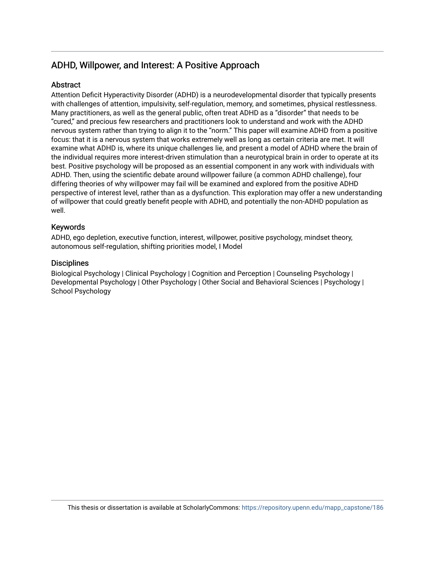# ADHD, Willpower, and Interest: A Positive Approach

# **Abstract**

Attention Deficit Hyperactivity Disorder (ADHD) is a neurodevelopmental disorder that typically presents with challenges of attention, impulsivity, self-regulation, memory, and sometimes, physical restlessness. Many practitioners, as well as the general public, often treat ADHD as a "disorder" that needs to be "cured," and precious few researchers and practitioners look to understand and work with the ADHD nervous system rather than trying to align it to the "norm." This paper will examine ADHD from a positive focus: that it is a nervous system that works extremely well as long as certain criteria are met. It will examine what ADHD is, where its unique challenges lie, and present a model of ADHD where the brain of the individual requires more interest-driven stimulation than a neurotypical brain in order to operate at its best. Positive psychology will be proposed as an essential component in any work with individuals with ADHD. Then, using the scientific debate around willpower failure (a common ADHD challenge), four differing theories of why willpower may fail will be examined and explored from the positive ADHD perspective of interest level, rather than as a dysfunction. This exploration may offer a new understanding of willpower that could greatly benefit people with ADHD, and potentially the non-ADHD population as well.

## Keywords

ADHD, ego depletion, executive function, interest, willpower, positive psychology, mindset theory, autonomous self-regulation, shifting priorities model, I Model

## **Disciplines**

Biological Psychology | Clinical Psychology | Cognition and Perception | Counseling Psychology | Developmental Psychology | Other Psychology | Other Social and Behavioral Sciences | Psychology | School Psychology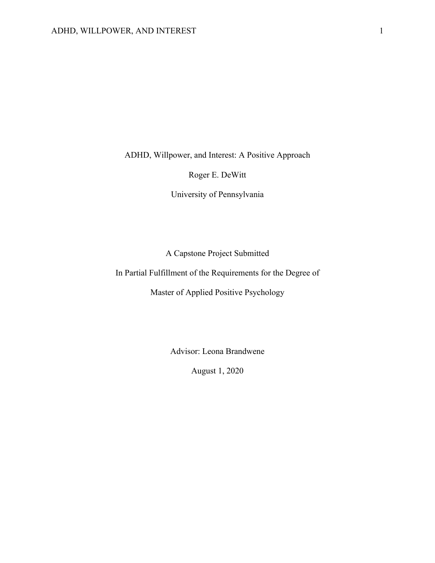ADHD, Willpower, and Interest: A Positive Approach

Roger E. DeWitt

University of Pennsylvania

A Capstone Project Submitted

In Partial Fulfillment of the Requirements for the Degree of

Master of Applied Positive Psychology

Advisor: Leona Brandwene

August 1, 2020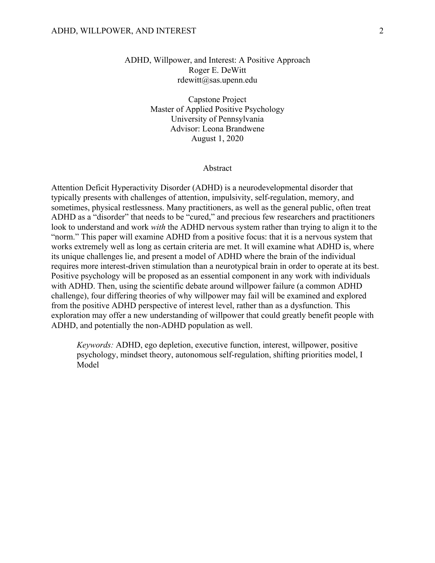ADHD, Willpower, and Interest: A Positive Approach Roger E. DeWitt rdewitt@sas.upenn.edu

> Capstone Project Master of Applied Positive Psychology University of Pennsylvania Advisor: Leona Brandwene August 1, 2020

#### Abstract

Attention Deficit Hyperactivity Disorder (ADHD) is a neurodevelopmental disorder that typically presents with challenges of attention, impulsivity, self-regulation, memory, and sometimes, physical restlessness. Many practitioners, as well as the general public, often treat ADHD as a "disorder" that needs to be "cured," and precious few researchers and practitioners look to understand and work *with* the ADHD nervous system rather than trying to align it to the "norm." This paper will examine ADHD from a positive focus: that it is a nervous system that works extremely well as long as certain criteria are met. It will examine what ADHD is, where its unique challenges lie, and present a model of ADHD where the brain of the individual requires more interest-driven stimulation than a neurotypical brain in order to operate at its best. Positive psychology will be proposed as an essential component in any work with individuals with ADHD. Then, using the scientific debate around willpower failure (a common ADHD challenge), four differing theories of why willpower may fail will be examined and explored from the positive ADHD perspective of interest level, rather than as a dysfunction. This exploration may offer a new understanding of willpower that could greatly benefit people with ADHD, and potentially the non-ADHD population as well.

*Keywords:* ADHD, ego depletion, executive function, interest, willpower, positive psychology, mindset theory, autonomous self-regulation, shifting priorities model, I **Model**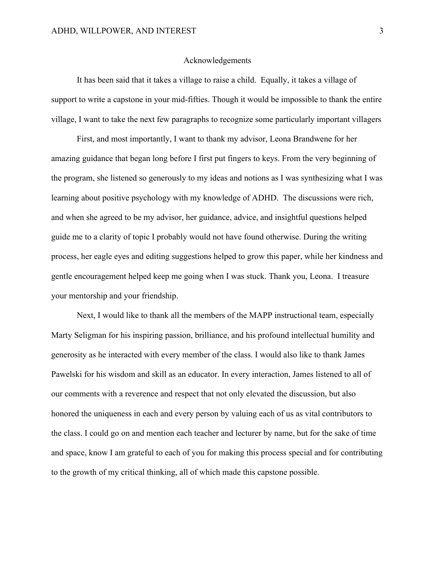#### Acknowledgements

It has been said that it takes a village to raise a child. Equally, it takes a village of support to write a capstone in your mid-fifties. Though it would be impossible to thank the entire village, I want to take the next few paragraphs to recognize some particularly important villagers

First, and most importantly, I want to thank my advisor, Leona Brandwene for her amazing guidance that began long before I first put fingers to keys. From the very beginning of the program, she listened so generously to my ideas and notions as I was synthesizing what I was learning about positive psychology with my knowledge of ADHD. The discussions were rich, and when she agreed to be my advisor, her guidance, advice, and insightful questions helped guide me to a clarity of topic I probably would not have found otherwise. During the writing process, her eagle eyes and editing suggestions helped to grow this paper, while her kindness and gentle encouragement helped keep me going when I was stuck. Thank you, Leona. I treasure your mentorship and your friendship.

Next, I would like to thank all the members of the MAPP instructional team, especially Marty Seligman for his inspiring passion, brilliance, and his profound intellectual humility and generosity as he interacted with every member of the class. I would also like to thank James Pawelski for his wisdom and skill as an educator. In every interaction, James listened to all of our comments with a reverence and respect that not only elevated the discussion, but also honored the uniqueness in each and every person by valuing each of us as vital contributors to the class. I could go on and mention each teacher and lecturer by name, but for the sake of time and space, know I am grateful to each of you for making this process special and for contributing to the growth of my critical thinking, all of which made this capstone possible.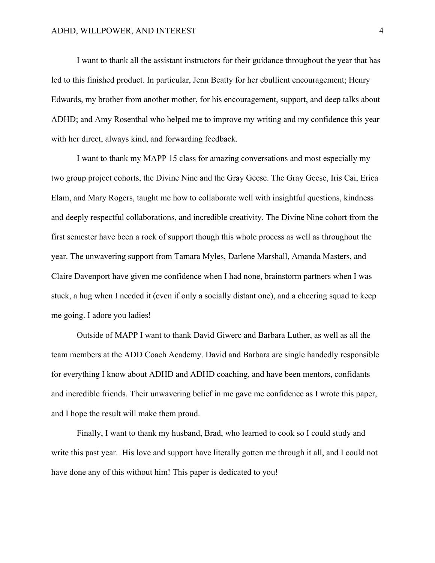I want to thank all the assistant instructors for their guidance throughout the year that has led to this finished product. In particular, Jenn Beatty for her ebullient encouragement; Henry Edwards, my brother from another mother, for his encouragement, support, and deep talks about ADHD; and Amy Rosenthal who helped me to improve my writing and my confidence this year with her direct, always kind, and forwarding feedback.

I want to thank my MAPP 15 class for amazing conversations and most especially my two group project cohorts, the Divine Nine and the Gray Geese. The Gray Geese, Iris Cai, Erica Elam, and Mary Rogers, taught me how to collaborate well with insightful questions, kindness and deeply respectful collaborations, and incredible creativity. The Divine Nine cohort from the first semester have been a rock of support though this whole process as well as throughout the year. The unwavering support from Tamara Myles, Darlene Marshall, Amanda Masters, and Claire Davenport have given me confidence when I had none, brainstorm partners when I was stuck, a hug when I needed it (even if only a socially distant one), and a cheering squad to keep me going. I adore you ladies!

Outside of MAPP I want to thank David Giwerc and Barbara Luther, as well as all the team members at the ADD Coach Academy. David and Barbara are single handedly responsible for everything I know about ADHD and ADHD coaching, and have been mentors, confidants and incredible friends. Their unwavering belief in me gave me confidence as I wrote this paper, and I hope the result will make them proud.

Finally, I want to thank my husband, Brad, who learned to cook so I could study and write this past year. His love and support have literally gotten me through it all, and I could not have done any of this without him! This paper is dedicated to you!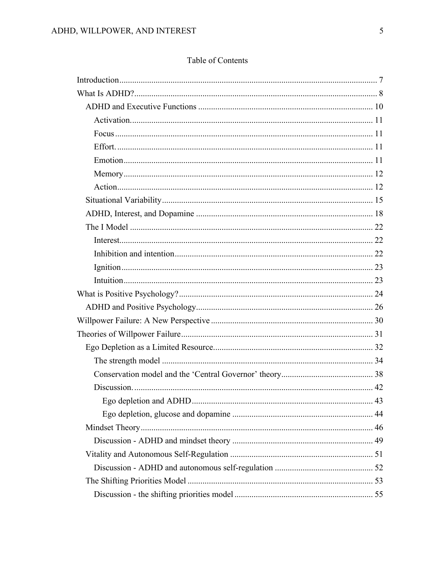# Table of Contents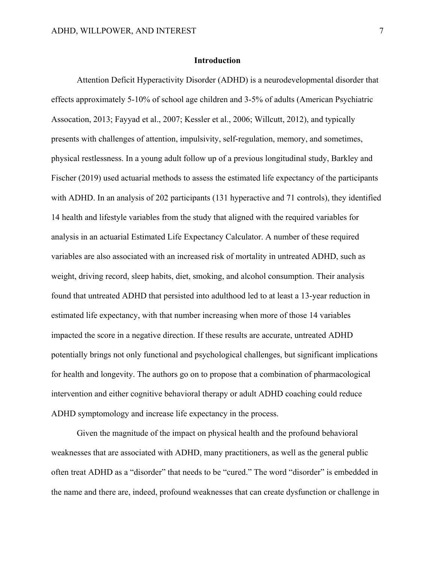#### **Introduction**

Attention Deficit Hyperactivity Disorder (ADHD) is a neurodevelopmental disorder that effects approximately 5-10% of school age children and 3-5% of adults (American Psychiatric Assocation, 2013; Fayyad et al., 2007; Kessler et al., 2006; Willcutt, 2012), and typically presents with challenges of attention, impulsivity, self-regulation, memory, and sometimes, physical restlessness. In a young adult follow up of a previous longitudinal study, Barkley and Fischer (2019) used actuarial methods to assess the estimated life expectancy of the participants with ADHD. In an analysis of 202 participants (131 hyperactive and 71 controls), they identified 14 health and lifestyle variables from the study that aligned with the required variables for analysis in an actuarial Estimated Life Expectancy Calculator. A number of these required variables are also associated with an increased risk of mortality in untreated ADHD, such as weight, driving record, sleep habits, diet, smoking, and alcohol consumption. Their analysis found that untreated ADHD that persisted into adulthood led to at least a 13-year reduction in estimated life expectancy, with that number increasing when more of those 14 variables impacted the score in a negative direction. If these results are accurate, untreated ADHD potentially brings not only functional and psychological challenges, but significant implications for health and longevity. The authors go on to propose that a combination of pharmacological intervention and either cognitive behavioral therapy or adult ADHD coaching could reduce ADHD symptomology and increase life expectancy in the process.

Given the magnitude of the impact on physical health and the profound behavioral weaknesses that are associated with ADHD, many practitioners, as well as the general public often treat ADHD as a "disorder" that needs to be "cured." The word "disorder" is embedded in the name and there are, indeed, profound weaknesses that can create dysfunction or challenge in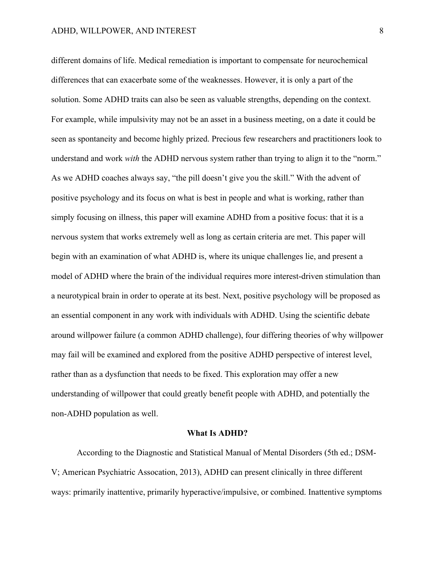different domains of life. Medical remediation is important to compensate for neurochemical differences that can exacerbate some of the weaknesses. However, it is only a part of the solution. Some ADHD traits can also be seen as valuable strengths, depending on the context. For example, while impulsivity may not be an asset in a business meeting, on a date it could be seen as spontaneity and become highly prized. Precious few researchers and practitioners look to understand and work *with* the ADHD nervous system rather than trying to align it to the "norm." As we ADHD coaches always say, "the pill doesn't give you the skill." With the advent of positive psychology and its focus on what is best in people and what is working, rather than simply focusing on illness, this paper will examine ADHD from a positive focus: that it is a nervous system that works extremely well as long as certain criteria are met. This paper will begin with an examination of what ADHD is, where its unique challenges lie, and present a model of ADHD where the brain of the individual requires more interest-driven stimulation than a neurotypical brain in order to operate at its best. Next, positive psychology will be proposed as an essential component in any work with individuals with ADHD. Using the scientific debate around willpower failure (a common ADHD challenge), four differing theories of why willpower may fail will be examined and explored from the positive ADHD perspective of interest level, rather than as a dysfunction that needs to be fixed. This exploration may offer a new understanding of willpower that could greatly benefit people with ADHD, and potentially the non-ADHD population as well.

#### **What Is ADHD?**

According to the Diagnostic and Statistical Manual of Mental Disorders (5th ed.; DSM-V; American Psychiatric Assocation, 2013), ADHD can present clinically in three different ways: primarily inattentive, primarily hyperactive/impulsive, or combined. Inattentive symptoms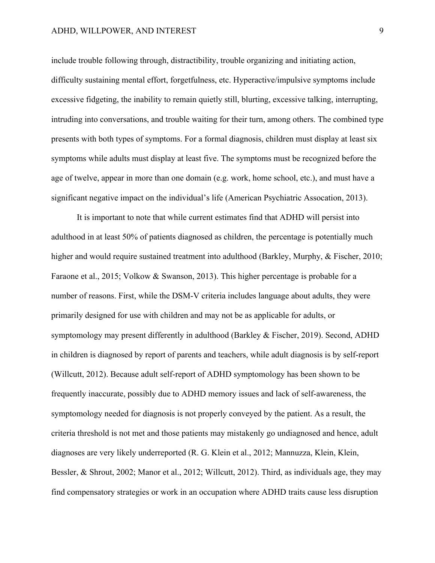include trouble following through, distractibility, trouble organizing and initiating action, difficulty sustaining mental effort, forgetfulness, etc. Hyperactive/impulsive symptoms include excessive fidgeting, the inability to remain quietly still, blurting, excessive talking, interrupting, intruding into conversations, and trouble waiting for their turn, among others. The combined type presents with both types of symptoms. For a formal diagnosis, children must display at least six symptoms while adults must display at least five. The symptoms must be recognized before the age of twelve, appear in more than one domain (e.g. work, home school, etc.), and must have a significant negative impact on the individual's life (American Psychiatric Assocation, 2013).

It is important to note that while current estimates find that ADHD will persist into adulthood in at least 50% of patients diagnosed as children, the percentage is potentially much higher and would require sustained treatment into adulthood (Barkley, Murphy, & Fischer, 2010; Faraone et al., 2015; Volkow & Swanson, 2013). This higher percentage is probable for a number of reasons. First, while the DSM-V criteria includes language about adults, they were primarily designed for use with children and may not be as applicable for adults, or symptomology may present differently in adulthood (Barkley & Fischer, 2019). Second, ADHD in children is diagnosed by report of parents and teachers, while adult diagnosis is by self-report (Willcutt, 2012). Because adult self-report of ADHD symptomology has been shown to be frequently inaccurate, possibly due to ADHD memory issues and lack of self-awareness, the symptomology needed for diagnosis is not properly conveyed by the patient. As a result, the criteria threshold is not met and those patients may mistakenly go undiagnosed and hence, adult diagnoses are very likely underreported (R. G. Klein et al., 2012; Mannuzza, Klein, Klein, Bessler, & Shrout, 2002; Manor et al., 2012; Willcutt, 2012). Third, as individuals age, they may find compensatory strategies or work in an occupation where ADHD traits cause less disruption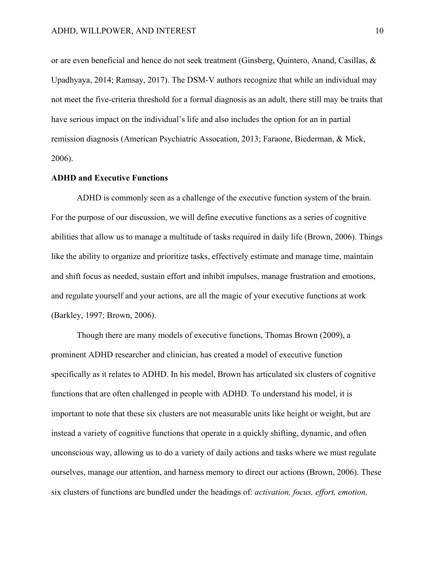or are even beneficial and hence do not seek treatment (Ginsberg, Quintero, Anand, Casillas, & Upadhyaya, 2014; Ramsay, 2017). The DSM-V authors recognize that while an individual may not meet the five-criteria threshold for a formal diagnosis as an adult, there still may be traits that have serious impact on the individual's life and also includes the option for an in partial remission diagnosis (American Psychiatric Assocation, 2013; Faraone, Biederman, & Mick, 2006).

#### **ADHD and Executive Functions**

ADHD is commonly seen as a challenge of the executive function system of the brain. For the purpose of our discussion, we will define executive functions as a series of cognitive abilities that allow us to manage a multitude of tasks required in daily life (Brown, 2006). Things like the ability to organize and prioritize tasks, effectively estimate and manage time, maintain and shift focus as needed, sustain effort and inhibit impulses, manage frustration and emotions, and regulate yourself and your actions, are all the magic of your executive functions at work (Barkley, 1997; Brown, 2006).

Though there are many models of executive functions, Thomas Brown (2009), a prominent ADHD researcher and clinician, has created a model of executive function specifically as it relates to ADHD. In his model, Brown has articulated six clusters of cognitive functions that are often challenged in people with ADHD. To understand his model, it is important to note that these six clusters are not measurable units like height or weight, but are instead a variety of cognitive functions that operate in a quickly shifting, dynamic, and often unconscious way, allowing us to do a variety of daily actions and tasks where we must regulate ourselves, manage our attention, and harness memory to direct our actions (Brown, 2006). These six clusters of functions are bundled under the headings of: *activation, focus, effort, emotion,*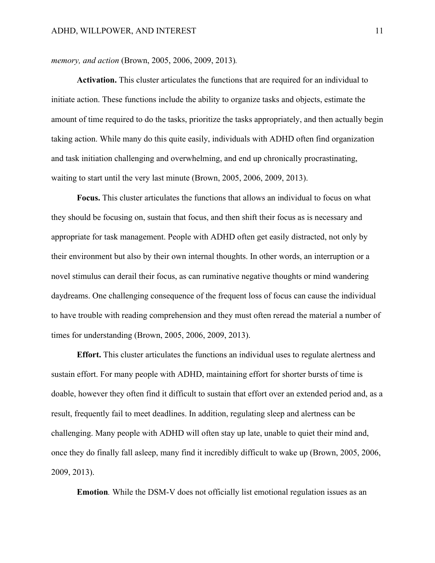*memory, and action* (Brown, 2005, 2006, 2009, 2013)*.*

**Activation.** This cluster articulates the functions that are required for an individual to initiate action. These functions include the ability to organize tasks and objects, estimate the amount of time required to do the tasks, prioritize the tasks appropriately, and then actually begin taking action. While many do this quite easily, individuals with ADHD often find organization and task initiation challenging and overwhelming, and end up chronically procrastinating, waiting to start until the very last minute (Brown, 2005, 2006, 2009, 2013).

**Focus.** This cluster articulates the functions that allows an individual to focus on what they should be focusing on, sustain that focus, and then shift their focus as is necessary and appropriate for task management. People with ADHD often get easily distracted, not only by their environment but also by their own internal thoughts. In other words, an interruption or a novel stimulus can derail their focus, as can ruminative negative thoughts or mind wandering daydreams. One challenging consequence of the frequent loss of focus can cause the individual to have trouble with reading comprehension and they must often reread the material a number of times for understanding (Brown, 2005, 2006, 2009, 2013).

**Effort.** This cluster articulates the functions an individual uses to regulate alertness and sustain effort. For many people with ADHD, maintaining effort for shorter bursts of time is doable, however they often find it difficult to sustain that effort over an extended period and, as a result, frequently fail to meet deadlines. In addition, regulating sleep and alertness can be challenging. Many people with ADHD will often stay up late, unable to quiet their mind and, once they do finally fall asleep, many find it incredibly difficult to wake up (Brown, 2005, 2006, 2009, 2013).

**Emotion***.* While the DSM-V does not officially list emotional regulation issues as an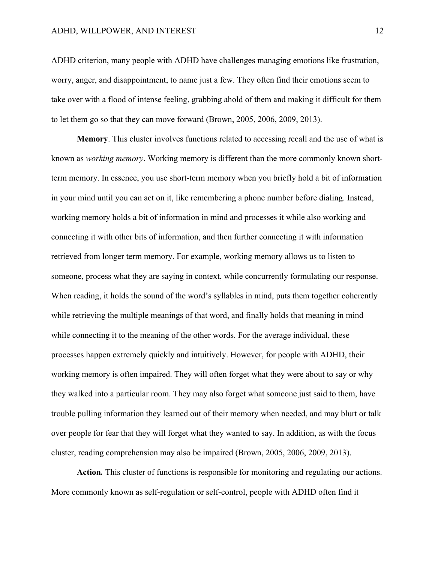ADHD criterion, many people with ADHD have challenges managing emotions like frustration, worry, anger, and disappointment, to name just a few. They often find their emotions seem to take over with a flood of intense feeling, grabbing ahold of them and making it difficult for them to let them go so that they can move forward (Brown, 2005, 2006, 2009, 2013).

**Memory**. This cluster involves functions related to accessing recall and the use of what is known as *working memory*. Working memory is different than the more commonly known shortterm memory. In essence, you use short-term memory when you briefly hold a bit of information in your mind until you can act on it, like remembering a phone number before dialing. Instead, working memory holds a bit of information in mind and processes it while also working and connecting it with other bits of information, and then further connecting it with information retrieved from longer term memory. For example, working memory allows us to listen to someone, process what they are saying in context, while concurrently formulating our response. When reading, it holds the sound of the word's syllables in mind, puts them together coherently while retrieving the multiple meanings of that word, and finally holds that meaning in mind while connecting it to the meaning of the other words. For the average individual, these processes happen extremely quickly and intuitively. However, for people with ADHD, their working memory is often impaired. They will often forget what they were about to say or why they walked into a particular room. They may also forget what someone just said to them, have trouble pulling information they learned out of their memory when needed, and may blurt or talk over people for fear that they will forget what they wanted to say. In addition, as with the focus cluster, reading comprehension may also be impaired (Brown, 2005, 2006, 2009, 2013).

**Action***.* This cluster of functions is responsible for monitoring and regulating our actions. More commonly known as self-regulation or self-control, people with ADHD often find it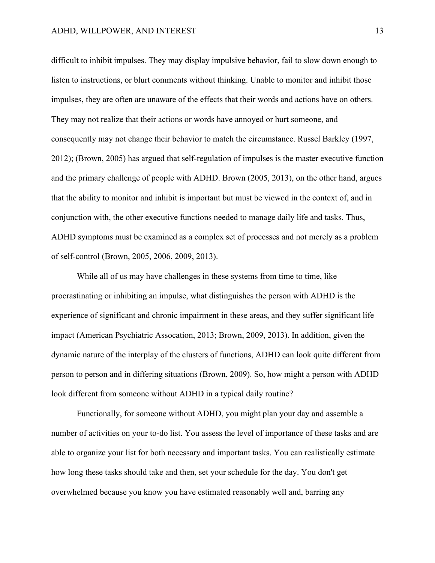difficult to inhibit impulses. They may display impulsive behavior, fail to slow down enough to listen to instructions, or blurt comments without thinking. Unable to monitor and inhibit those impulses, they are often are unaware of the effects that their words and actions have on others. They may not realize that their actions or words have annoyed or hurt someone, and consequently may not change their behavior to match the circumstance. Russel Barkley (1997, 2012); (Brown, 2005) has argued that self-regulation of impulses is the master executive function and the primary challenge of people with ADHD. Brown (2005, 2013), on the other hand, argues that the ability to monitor and inhibit is important but must be viewed in the context of, and in conjunction with, the other executive functions needed to manage daily life and tasks. Thus, ADHD symptoms must be examined as a complex set of processes and not merely as a problem of self-control (Brown, 2005, 2006, 2009, 2013).

While all of us may have challenges in these systems from time to time, like procrastinating or inhibiting an impulse, what distinguishes the person with ADHD is the experience of significant and chronic impairment in these areas, and they suffer significant life impact (American Psychiatric Assocation, 2013; Brown, 2009, 2013). In addition, given the dynamic nature of the interplay of the clusters of functions, ADHD can look quite different from person to person and in differing situations (Brown, 2009). So, how might a person with ADHD look different from someone without ADHD in a typical daily routine?

Functionally, for someone without ADHD, you might plan your day and assemble a number of activities on your to-do list. You assess the level of importance of these tasks and are able to organize your list for both necessary and important tasks. You can realistically estimate how long these tasks should take and then, set your schedule for the day. You don't get overwhelmed because you know you have estimated reasonably well and, barring any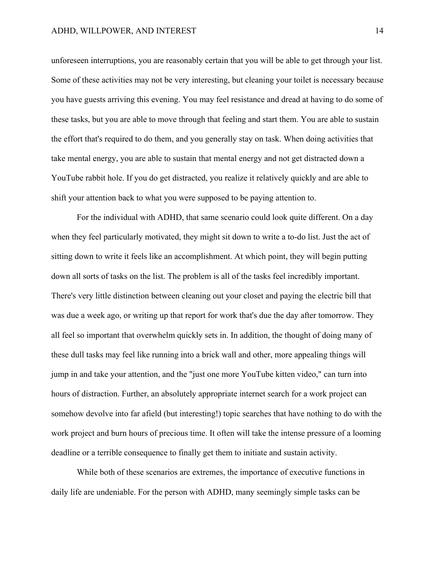unforeseen interruptions, you are reasonably certain that you will be able to get through your list. Some of these activities may not be very interesting, but cleaning your toilet is necessary because you have guests arriving this evening. You may feel resistance and dread at having to do some of these tasks, but you are able to move through that feeling and start them. You are able to sustain the effort that's required to do them, and you generally stay on task. When doing activities that take mental energy, you are able to sustain that mental energy and not get distracted down a YouTube rabbit hole. If you do get distracted, you realize it relatively quickly and are able to shift your attention back to what you were supposed to be paying attention to.

For the individual with ADHD, that same scenario could look quite different. On a day when they feel particularly motivated, they might sit down to write a to-do list. Just the act of sitting down to write it feels like an accomplishment. At which point, they will begin putting down all sorts of tasks on the list. The problem is all of the tasks feel incredibly important. There's very little distinction between cleaning out your closet and paying the electric bill that was due a week ago, or writing up that report for work that's due the day after tomorrow. They all feel so important that overwhelm quickly sets in. In addition, the thought of doing many of these dull tasks may feel like running into a brick wall and other, more appealing things will jump in and take your attention, and the "just one more YouTube kitten video," can turn into hours of distraction. Further, an absolutely appropriate internet search for a work project can somehow devolve into far afield (but interesting!) topic searches that have nothing to do with the work project and burn hours of precious time. It often will take the intense pressure of a looming deadline or a terrible consequence to finally get them to initiate and sustain activity.

While both of these scenarios are extremes, the importance of executive functions in daily life are undeniable. For the person with ADHD, many seemingly simple tasks can be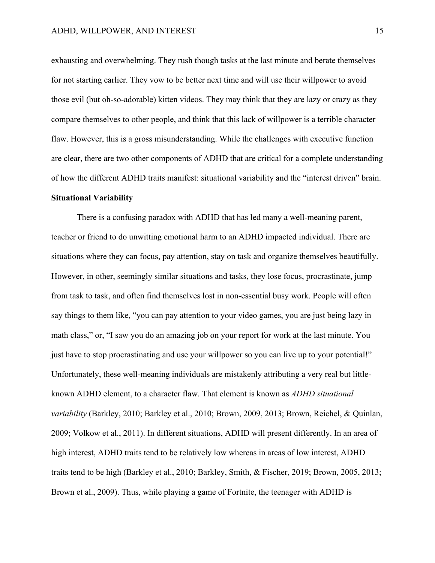exhausting and overwhelming. They rush though tasks at the last minute and berate themselves for not starting earlier. They vow to be better next time and will use their willpower to avoid those evil (but oh-so-adorable) kitten videos. They may think that they are lazy or crazy as they compare themselves to other people, and think that this lack of willpower is a terrible character flaw. However, this is a gross misunderstanding. While the challenges with executive function are clear, there are two other components of ADHD that are critical for a complete understanding of how the different ADHD traits manifest: situational variability and the "interest driven" brain.

# **Situational Variability**

There is a confusing paradox with ADHD that has led many a well-meaning parent, teacher or friend to do unwitting emotional harm to an ADHD impacted individual. There are situations where they can focus, pay attention, stay on task and organize themselves beautifully. However, in other, seemingly similar situations and tasks, they lose focus, procrastinate, jump from task to task, and often find themselves lost in non-essential busy work. People will often say things to them like, "you can pay attention to your video games, you are just being lazy in math class," or, "I saw you do an amazing job on your report for work at the last minute. You just have to stop procrastinating and use your willpower so you can live up to your potential!" Unfortunately, these well-meaning individuals are mistakenly attributing a very real but littleknown ADHD element, to a character flaw. That element is known as *ADHD situational variability* (Barkley, 2010; Barkley et al., 2010; Brown, 2009, 2013; Brown, Reichel, & Quinlan, 2009; Volkow et al., 2011). In different situations, ADHD will present differently. In an area of high interest, ADHD traits tend to be relatively low whereas in areas of low interest, ADHD traits tend to be high (Barkley et al., 2010; Barkley, Smith, & Fischer, 2019; Brown, 2005, 2013; Brown et al., 2009). Thus, while playing a game of Fortnite, the teenager with ADHD is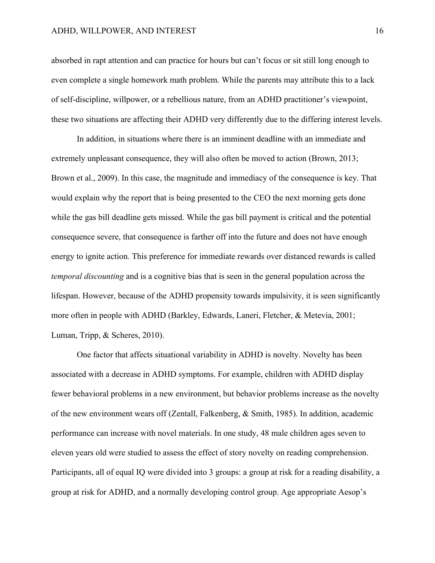absorbed in rapt attention and can practice for hours but can't focus or sit still long enough to even complete a single homework math problem. While the parents may attribute this to a lack of self-discipline, willpower, or a rebellious nature, from an ADHD practitioner's viewpoint, these two situations are affecting their ADHD very differently due to the differing interest levels.

In addition, in situations where there is an imminent deadline with an immediate and extremely unpleasant consequence, they will also often be moved to action (Brown, 2013; Brown et al., 2009). In this case, the magnitude and immediacy of the consequence is key. That would explain why the report that is being presented to the CEO the next morning gets done while the gas bill deadline gets missed. While the gas bill payment is critical and the potential consequence severe, that consequence is farther off into the future and does not have enough energy to ignite action. This preference for immediate rewards over distanced rewards is called *temporal discounting* and is a cognitive bias that is seen in the general population across the lifespan. However, because of the ADHD propensity towards impulsivity, it is seen significantly more often in people with ADHD (Barkley, Edwards, Laneri, Fletcher, & Metevia, 2001; Luman, Tripp, & Scheres, 2010).

One factor that affects situational variability in ADHD is novelty. Novelty has been associated with a decrease in ADHD symptoms. For example, children with ADHD display fewer behavioral problems in a new environment, but behavior problems increase as the novelty of the new environment wears off (Zentall, Falkenberg, & Smith, 1985). In addition, academic performance can increase with novel materials. In one study, 48 male children ages seven to eleven years old were studied to assess the effect of story novelty on reading comprehension. Participants, all of equal IQ were divided into 3 groups: a group at risk for a reading disability, a group at risk for ADHD, and a normally developing control group. Age appropriate Aesop's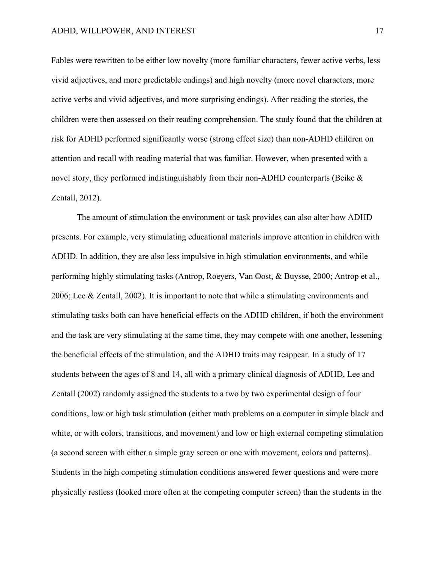Fables were rewritten to be either low novelty (more familiar characters, fewer active verbs, less vivid adjectives, and more predictable endings) and high novelty (more novel characters, more active verbs and vivid adjectives, and more surprising endings). After reading the stories, the children were then assessed on their reading comprehension. The study found that the children at risk for ADHD performed significantly worse (strong effect size) than non-ADHD children on attention and recall with reading material that was familiar. However, when presented with a novel story, they performed indistinguishably from their non-ADHD counterparts (Beike & Zentall, 2012).

The amount of stimulation the environment or task provides can also alter how ADHD presents. For example, very stimulating educational materials improve attention in children with ADHD. In addition, they are also less impulsive in high stimulation environments, and while performing highly stimulating tasks (Antrop, Roeyers, Van Oost, & Buysse, 2000; Antrop et al., 2006; Lee & Zentall, 2002). It is important to note that while a stimulating environments and stimulating tasks both can have beneficial effects on the ADHD children, if both the environment and the task are very stimulating at the same time, they may compete with one another, lessening the beneficial effects of the stimulation, and the ADHD traits may reappear. In a study of 17 students between the ages of 8 and 14, all with a primary clinical diagnosis of ADHD, Lee and Zentall (2002) randomly assigned the students to a two by two experimental design of four conditions, low or high task stimulation (either math problems on a computer in simple black and white, or with colors, transitions, and movement) and low or high external competing stimulation (a second screen with either a simple gray screen or one with movement, colors and patterns). Students in the high competing stimulation conditions answered fewer questions and were more physically restless (looked more often at the competing computer screen) than the students in the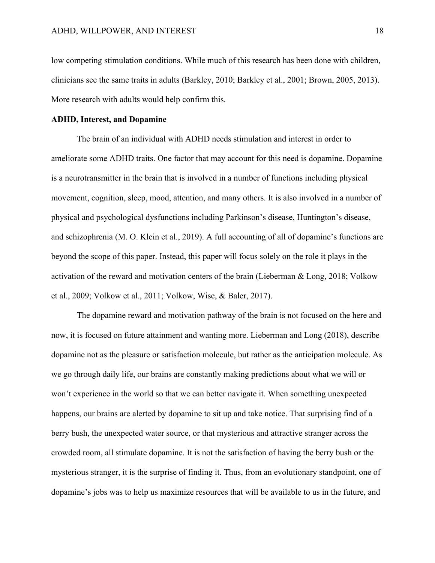low competing stimulation conditions. While much of this research has been done with children, clinicians see the same traits in adults (Barkley, 2010; Barkley et al., 2001; Brown, 2005, 2013). More research with adults would help confirm this.

#### **ADHD, Interest, and Dopamine**

The brain of an individual with ADHD needs stimulation and interest in order to ameliorate some ADHD traits. One factor that may account for this need is dopamine. Dopamine is a neurotransmitter in the brain that is involved in a number of functions including physical movement, cognition, sleep, mood, attention, and many others. It is also involved in a number of physical and psychological dysfunctions including Parkinson's disease, Huntington's disease, and schizophrenia (M. O. Klein et al., 2019). A full accounting of all of dopamine's functions are beyond the scope of this paper. Instead, this paper will focus solely on the role it plays in the activation of the reward and motivation centers of the brain (Lieberman & Long, 2018; Volkow et al., 2009; Volkow et al., 2011; Volkow, Wise, & Baler, 2017).

The dopamine reward and motivation pathway of the brain is not focused on the here and now, it is focused on future attainment and wanting more. Lieberman and Long (2018), describe dopamine not as the pleasure or satisfaction molecule, but rather as the anticipation molecule. As we go through daily life, our brains are constantly making predictions about what we will or won't experience in the world so that we can better navigate it. When something unexpected happens, our brains are alerted by dopamine to sit up and take notice. That surprising find of a berry bush, the unexpected water source, or that mysterious and attractive stranger across the crowded room, all stimulate dopamine. It is not the satisfaction of having the berry bush or the mysterious stranger, it is the surprise of finding it. Thus, from an evolutionary standpoint, one of dopamine's jobs was to help us maximize resources that will be available to us in the future, and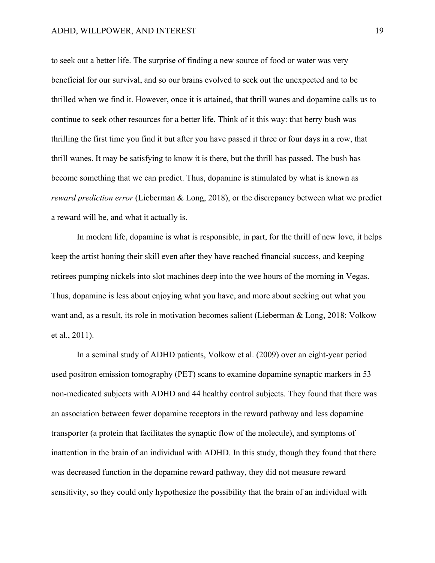to seek out a better life. The surprise of finding a new source of food or water was very beneficial for our survival, and so our brains evolved to seek out the unexpected and to be thrilled when we find it. However, once it is attained, that thrill wanes and dopamine calls us to continue to seek other resources for a better life. Think of it this way: that berry bush was thrilling the first time you find it but after you have passed it three or four days in a row, that thrill wanes. It may be satisfying to know it is there, but the thrill has passed. The bush has become something that we can predict. Thus, dopamine is stimulated by what is known as *reward prediction error* (Lieberman & Long, 2018), or the discrepancy between what we predict a reward will be, and what it actually is.

In modern life, dopamine is what is responsible, in part, for the thrill of new love, it helps keep the artist honing their skill even after they have reached financial success, and keeping retirees pumping nickels into slot machines deep into the wee hours of the morning in Vegas. Thus, dopamine is less about enjoying what you have, and more about seeking out what you want and, as a result, its role in motivation becomes salient (Lieberman & Long, 2018; Volkow et al., 2011).

In a seminal study of ADHD patients, Volkow et al. (2009) over an eight-year period used positron emission tomography (PET) scans to examine dopamine synaptic markers in 53 non-medicated subjects with ADHD and 44 healthy control subjects. They found that there was an association between fewer dopamine receptors in the reward pathway and less dopamine transporter (a protein that facilitates the synaptic flow of the molecule), and symptoms of inattention in the brain of an individual with ADHD. In this study, though they found that there was decreased function in the dopamine reward pathway, they did not measure reward sensitivity, so they could only hypothesize the possibility that the brain of an individual with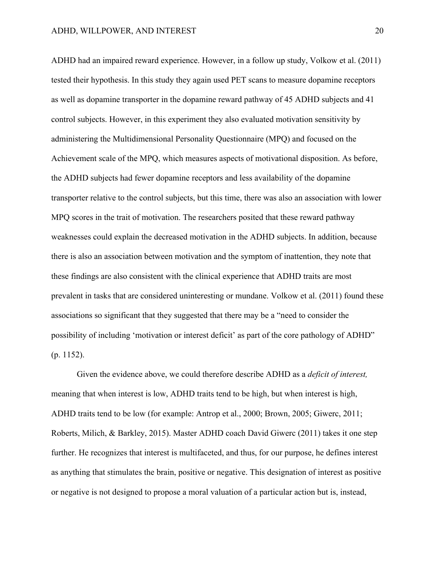ADHD had an impaired reward experience. However, in a follow up study, Volkow et al. (2011) tested their hypothesis. In this study they again used PET scans to measure dopamine receptors as well as dopamine transporter in the dopamine reward pathway of 45 ADHD subjects and 41 control subjects. However, in this experiment they also evaluated motivation sensitivity by administering the Multidimensional Personality Questionnaire (MPQ) and focused on the Achievement scale of the MPQ, which measures aspects of motivational disposition. As before, the ADHD subjects had fewer dopamine receptors and less availability of the dopamine transporter relative to the control subjects, but this time, there was also an association with lower MPQ scores in the trait of motivation. The researchers posited that these reward pathway weaknesses could explain the decreased motivation in the ADHD subjects. In addition, because there is also an association between motivation and the symptom of inattention, they note that these findings are also consistent with the clinical experience that ADHD traits are most prevalent in tasks that are considered uninteresting or mundane. Volkow et al. (2011) found these associations so significant that they suggested that there may be a "need to consider the possibility of including 'motivation or interest deficit' as part of the core pathology of ADHD" (p. 1152).

Given the evidence above, we could therefore describe ADHD as a *deficit of interest,* meaning that when interest is low, ADHD traits tend to be high, but when interest is high, ADHD traits tend to be low (for example: Antrop et al., 2000; Brown, 2005; Giwerc, 2011; Roberts, Milich, & Barkley, 2015). Master ADHD coach David Giwerc (2011) takes it one step further. He recognizes that interest is multifaceted, and thus, for our purpose, he defines interest as anything that stimulates the brain, positive or negative. This designation of interest as positive or negative is not designed to propose a moral valuation of a particular action but is, instead,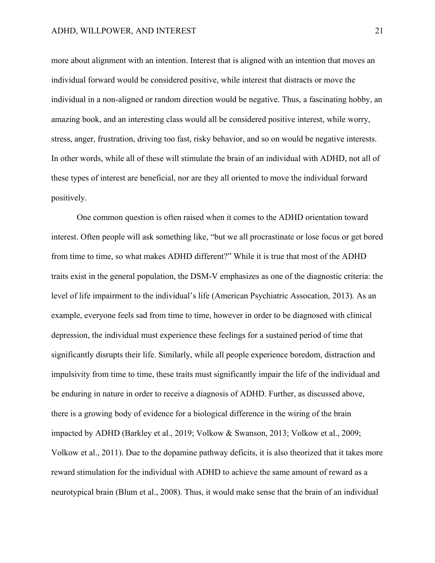more about alignment with an intention. Interest that is aligned with an intention that moves an individual forward would be considered positive, while interest that distracts or move the individual in a non-aligned or random direction would be negative. Thus, a fascinating hobby, an amazing book, and an interesting class would all be considered positive interest, while worry, stress, anger, frustration, driving too fast, risky behavior, and so on would be negative interests. In other words, while all of these will stimulate the brain of an individual with ADHD, not all of these types of interest are beneficial, nor are they all oriented to move the individual forward positively.

One common question is often raised when it comes to the ADHD orientation toward interest. Often people will ask something like, "but we all procrastinate or lose focus or get bored from time to time, so what makes ADHD different?" While it is true that most of the ADHD traits exist in the general population, the DSM-V emphasizes as one of the diagnostic criteria: the level of life impairment to the individual's life (American Psychiatric Assocation, 2013). As an example, everyone feels sad from time to time, however in order to be diagnosed with clinical depression, the individual must experience these feelings for a sustained period of time that significantly disrupts their life. Similarly, while all people experience boredom, distraction and impulsivity from time to time, these traits must significantly impair the life of the individual and be enduring in nature in order to receive a diagnosis of ADHD. Further, as discussed above, there is a growing body of evidence for a biological difference in the wiring of the brain impacted by ADHD (Barkley et al., 2019; Volkow & Swanson, 2013; Volkow et al., 2009; Volkow et al., 2011). Due to the dopamine pathway deficits, it is also theorized that it takes more reward stimulation for the individual with ADHD to achieve the same amount of reward as a neurotypical brain (Blum et al., 2008). Thus, it would make sense that the brain of an individual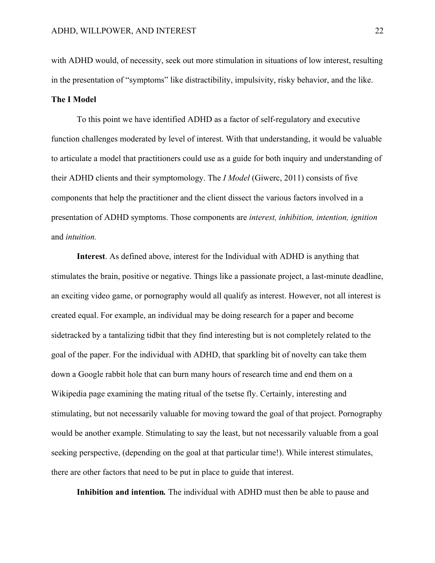with ADHD would, of necessity, seek out more stimulation in situations of low interest, resulting in the presentation of "symptoms" like distractibility, impulsivity, risky behavior, and the like.

# **The I Model**

To this point we have identified ADHD as a factor of self-regulatory and executive function challenges moderated by level of interest. With that understanding, it would be valuable to articulate a model that practitioners could use as a guide for both inquiry and understanding of their ADHD clients and their symptomology. The *I Model* (Giwerc, 2011) consists of five components that help the practitioner and the client dissect the various factors involved in a presentation of ADHD symptoms. Those components are *interest, inhibition, intention, ignition*  and *intuition.*

**Interest**. As defined above, interest for the Individual with ADHD is anything that stimulates the brain, positive or negative. Things like a passionate project, a last-minute deadline, an exciting video game, or pornography would all qualify as interest. However, not all interest is created equal. For example, an individual may be doing research for a paper and become sidetracked by a tantalizing tidbit that they find interesting but is not completely related to the goal of the paper. For the individual with ADHD, that sparkling bit of novelty can take them down a Google rabbit hole that can burn many hours of research time and end them on a Wikipedia page examining the mating ritual of the tsetse fly. Certainly, interesting and stimulating, but not necessarily valuable for moving toward the goal of that project. Pornography would be another example. Stimulating to say the least, but not necessarily valuable from a goal seeking perspective, (depending on the goal at that particular time!). While interest stimulates, there are other factors that need to be put in place to guide that interest.

**Inhibition and intention***.* The individual with ADHD must then be able to pause and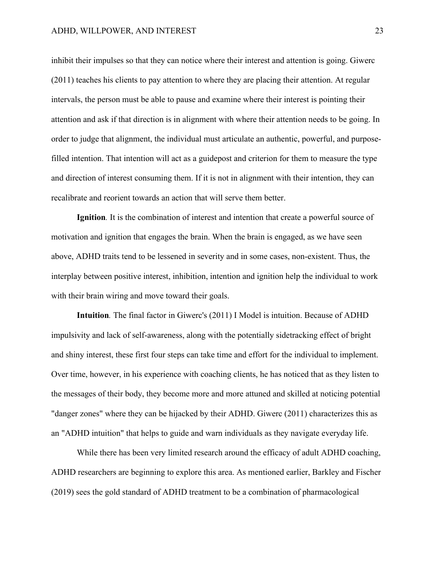inhibit their impulses so that they can notice where their interest and attention is going. Giwerc (2011) teaches his clients to pay attention to where they are placing their attention. At regular intervals, the person must be able to pause and examine where their interest is pointing their attention and ask if that direction is in alignment with where their attention needs to be going. In order to judge that alignment, the individual must articulate an authentic, powerful, and purposefilled intention. That intention will act as a guidepost and criterion for them to measure the type and direction of interest consuming them. If it is not in alignment with their intention, they can recalibrate and reorient towards an action that will serve them better.

**Ignition***.* It is the combination of interest and intention that create a powerful source of motivation and ignition that engages the brain. When the brain is engaged, as we have seen above, ADHD traits tend to be lessened in severity and in some cases, non-existent. Thus, the interplay between positive interest, inhibition, intention and ignition help the individual to work with their brain wiring and move toward their goals.

**Intuition***.* The final factor in Giwerc's (2011) I Model is intuition. Because of ADHD impulsivity and lack of self-awareness, along with the potentially sidetracking effect of bright and shiny interest, these first four steps can take time and effort for the individual to implement. Over time, however, in his experience with coaching clients, he has noticed that as they listen to the messages of their body, they become more and more attuned and skilled at noticing potential "danger zones" where they can be hijacked by their ADHD. Giwerc (2011) characterizes this as an "ADHD intuition" that helps to guide and warn individuals as they navigate everyday life.

While there has been very limited research around the efficacy of adult ADHD coaching, ADHD researchers are beginning to explore this area. As mentioned earlier, Barkley and Fischer (2019) sees the gold standard of ADHD treatment to be a combination of pharmacological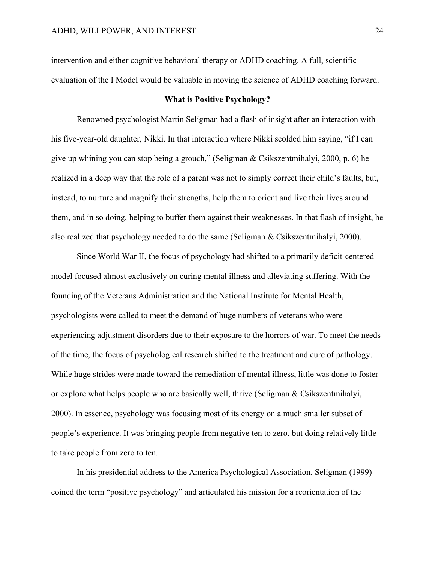intervention and either cognitive behavioral therapy or ADHD coaching. A full, scientific evaluation of the I Model would be valuable in moving the science of ADHD coaching forward.

#### **What is Positive Psychology?**

Renowned psychologist Martin Seligman had a flash of insight after an interaction with his five-year-old daughter, Nikki. In that interaction where Nikki scolded him saying, "if I can give up whining you can stop being a grouch," (Seligman & Csikszentmihalyi, 2000, p. 6) he realized in a deep way that the role of a parent was not to simply correct their child's faults, but, instead, to nurture and magnify their strengths, help them to orient and live their lives around them, and in so doing, helping to buffer them against their weaknesses. In that flash of insight, he also realized that psychology needed to do the same (Seligman & Csikszentmihalyi, 2000).

Since World War II, the focus of psychology had shifted to a primarily deficit-centered model focused almost exclusively on curing mental illness and alleviating suffering. With the founding of the Veterans Administration and the National Institute for Mental Health, psychologists were called to meet the demand of huge numbers of veterans who were experiencing adjustment disorders due to their exposure to the horrors of war. To meet the needs of the time, the focus of psychological research shifted to the treatment and cure of pathology. While huge strides were made toward the remediation of mental illness, little was done to foster or explore what helps people who are basically well, thrive (Seligman & Csikszentmihalyi, 2000). In essence, psychology was focusing most of its energy on a much smaller subset of people's experience. It was bringing people from negative ten to zero, but doing relatively little to take people from zero to ten.

In his presidential address to the America Psychological Association, Seligman (1999) coined the term "positive psychology" and articulated his mission for a reorientation of the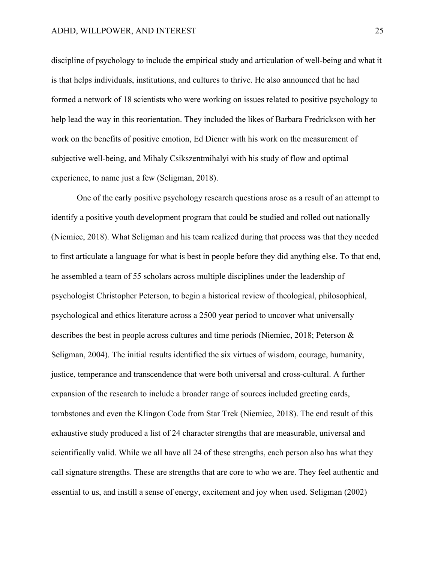discipline of psychology to include the empirical study and articulation of well-being and what it is that helps individuals, institutions, and cultures to thrive. He also announced that he had formed a network of 18 scientists who were working on issues related to positive psychology to help lead the way in this reorientation. They included the likes of Barbara Fredrickson with her work on the benefits of positive emotion, Ed Diener with his work on the measurement of subjective well-being, and Mihaly Csikszentmihalyi with his study of flow and optimal experience, to name just a few (Seligman, 2018).

One of the early positive psychology research questions arose as a result of an attempt to identify a positive youth development program that could be studied and rolled out nationally (Niemiec, 2018). What Seligman and his team realized during that process was that they needed to first articulate a language for what is best in people before they did anything else. To that end, he assembled a team of 55 scholars across multiple disciplines under the leadership of psychologist Christopher Peterson, to begin a historical review of theological, philosophical, psychological and ethics literature across a 2500 year period to uncover what universally describes the best in people across cultures and time periods (Niemiec, 2018; Peterson & Seligman, 2004). The initial results identified the six virtues of wisdom, courage, humanity, justice, temperance and transcendence that were both universal and cross-cultural. A further expansion of the research to include a broader range of sources included greeting cards, tombstones and even the Klingon Code from Star Trek (Niemiec, 2018). The end result of this exhaustive study produced a list of 24 character strengths that are measurable, universal and scientifically valid. While we all have all 24 of these strengths, each person also has what they call signature strengths. These are strengths that are core to who we are. They feel authentic and essential to us, and instill a sense of energy, excitement and joy when used. Seligman (2002)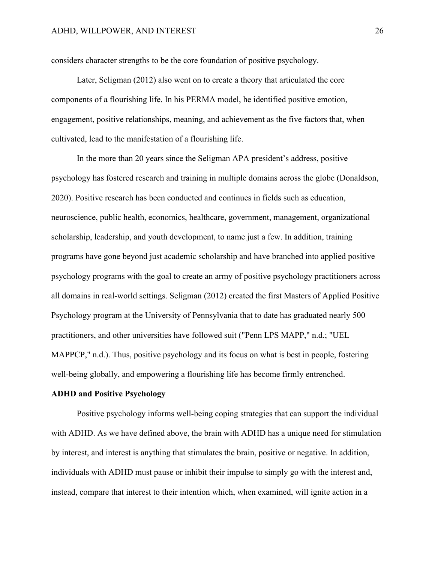considers character strengths to be the core foundation of positive psychology.

Later, Seligman (2012) also went on to create a theory that articulated the core components of a flourishing life. In his PERMA model, he identified positive emotion, engagement, positive relationships, meaning, and achievement as the five factors that, when cultivated, lead to the manifestation of a flourishing life.

In the more than 20 years since the Seligman APA president's address, positive psychology has fostered research and training in multiple domains across the globe (Donaldson, 2020). Positive research has been conducted and continues in fields such as education, neuroscience, public health, economics, healthcare, government, management, organizational scholarship, leadership, and youth development, to name just a few. In addition, training programs have gone beyond just academic scholarship and have branched into applied positive psychology programs with the goal to create an army of positive psychology practitioners across all domains in real-world settings. Seligman (2012) created the first Masters of Applied Positive Psychology program at the University of Pennsylvania that to date has graduated nearly 500 practitioners, and other universities have followed suit ("Penn LPS MAPP," n.d.; "UEL MAPPCP," n.d.). Thus, positive psychology and its focus on what is best in people, fostering well-being globally, and empowering a flourishing life has become firmly entrenched.

#### **ADHD and Positive Psychology**

Positive psychology informs well-being coping strategies that can support the individual with ADHD. As we have defined above, the brain with ADHD has a unique need for stimulation by interest, and interest is anything that stimulates the brain, positive or negative. In addition, individuals with ADHD must pause or inhibit their impulse to simply go with the interest and, instead, compare that interest to their intention which, when examined, will ignite action in a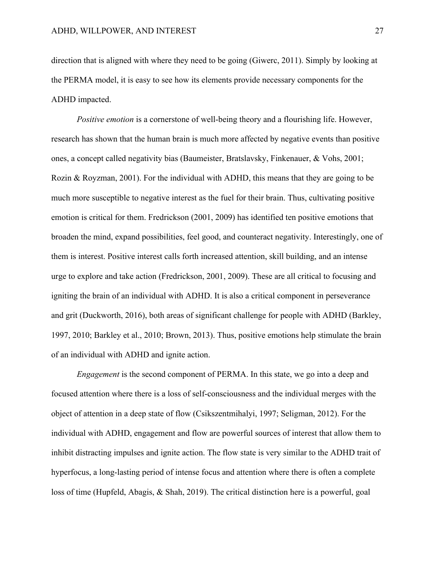direction that is aligned with where they need to be going (Giwerc, 2011). Simply by looking at the PERMA model, it is easy to see how its elements provide necessary components for the ADHD impacted.

*Positive emotion* is a cornerstone of well-being theory and a flourishing life. However, research has shown that the human brain is much more affected by negative events than positive ones, a concept called negativity bias (Baumeister, Bratslavsky, Finkenauer, & Vohs, 2001; Rozin & Royzman, 2001). For the individual with ADHD, this means that they are going to be much more susceptible to negative interest as the fuel for their brain. Thus, cultivating positive emotion is critical for them. Fredrickson (2001, 2009) has identified ten positive emotions that broaden the mind, expand possibilities, feel good, and counteract negativity. Interestingly, one of them is interest. Positive interest calls forth increased attention, skill building, and an intense urge to explore and take action (Fredrickson, 2001, 2009). These are all critical to focusing and igniting the brain of an individual with ADHD. It is also a critical component in perseverance and grit (Duckworth, 2016), both areas of significant challenge for people with ADHD (Barkley, 1997, 2010; Barkley et al., 2010; Brown, 2013). Thus, positive emotions help stimulate the brain of an individual with ADHD and ignite action.

*Engagement* is the second component of PERMA. In this state, we go into a deep and focused attention where there is a loss of self-consciousness and the individual merges with the object of attention in a deep state of flow (Csikszentmihalyi, 1997; Seligman, 2012). For the individual with ADHD, engagement and flow are powerful sources of interest that allow them to inhibit distracting impulses and ignite action. The flow state is very similar to the ADHD trait of hyperfocus, a long-lasting period of intense focus and attention where there is often a complete loss of time (Hupfeld, Abagis, & Shah, 2019). The critical distinction here is a powerful, goal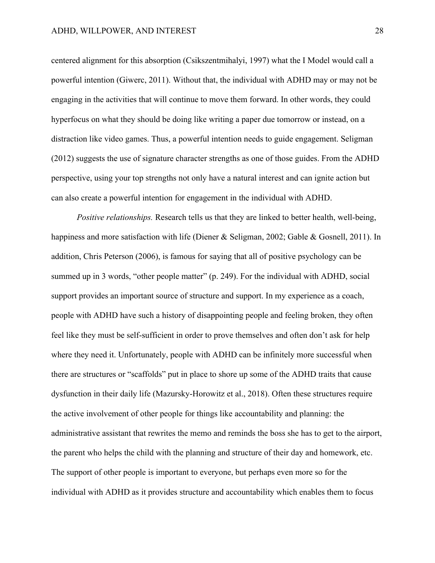centered alignment for this absorption (Csikszentmihalyi, 1997) what the I Model would call a powerful intention (Giwerc, 2011). Without that, the individual with ADHD may or may not be engaging in the activities that will continue to move them forward. In other words, they could hyperfocus on what they should be doing like writing a paper due tomorrow or instead, on a distraction like video games. Thus, a powerful intention needs to guide engagement. Seligman (2012) suggests the use of signature character strengths as one of those guides. From the ADHD perspective, using your top strengths not only have a natural interest and can ignite action but can also create a powerful intention for engagement in the individual with ADHD.

*Positive relationships.* Research tells us that they are linked to better health, well-being, happiness and more satisfaction with life (Diener & Seligman, 2002; Gable & Gosnell, 2011). In addition, Chris Peterson (2006), is famous for saying that all of positive psychology can be summed up in 3 words, "other people matter" (p. 249). For the individual with ADHD, social support provides an important source of structure and support. In my experience as a coach, people with ADHD have such a history of disappointing people and feeling broken, they often feel like they must be self-sufficient in order to prove themselves and often don't ask for help where they need it. Unfortunately, people with ADHD can be infinitely more successful when there are structures or "scaffolds" put in place to shore up some of the ADHD traits that cause dysfunction in their daily life (Mazursky-Horowitz et al., 2018). Often these structures require the active involvement of other people for things like accountability and planning: the administrative assistant that rewrites the memo and reminds the boss she has to get to the airport, the parent who helps the child with the planning and structure of their day and homework, etc. The support of other people is important to everyone, but perhaps even more so for the individual with ADHD as it provides structure and accountability which enables them to focus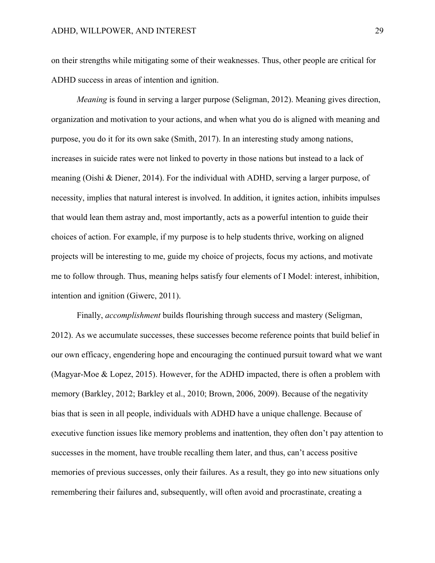on their strengths while mitigating some of their weaknesses. Thus, other people are critical for ADHD success in areas of intention and ignition.

*Meaning* is found in serving a larger purpose (Seligman, 2012). Meaning gives direction, organization and motivation to your actions, and when what you do is aligned with meaning and purpose, you do it for its own sake (Smith, 2017). In an interesting study among nations, increases in suicide rates were not linked to poverty in those nations but instead to a lack of meaning (Oishi & Diener, 2014). For the individual with ADHD, serving a larger purpose, of necessity, implies that natural interest is involved. In addition, it ignites action, inhibits impulses that would lean them astray and, most importantly, acts as a powerful intention to guide their choices of action. For example, if my purpose is to help students thrive, working on aligned projects will be interesting to me, guide my choice of projects, focus my actions, and motivate me to follow through. Thus, meaning helps satisfy four elements of I Model: interest, inhibition, intention and ignition (Giwerc, 2011).

Finally, *accomplishment* builds flourishing through success and mastery (Seligman, 2012). As we accumulate successes, these successes become reference points that build belief in our own efficacy, engendering hope and encouraging the continued pursuit toward what we want (Magyar‐Moe & Lopez, 2015). However, for the ADHD impacted, there is often a problem with memory (Barkley, 2012; Barkley et al., 2010; Brown, 2006, 2009). Because of the negativity bias that is seen in all people, individuals with ADHD have a unique challenge. Because of executive function issues like memory problems and inattention, they often don't pay attention to successes in the moment, have trouble recalling them later, and thus, can't access positive memories of previous successes, only their failures. As a result, they go into new situations only remembering their failures and, subsequently, will often avoid and procrastinate, creating a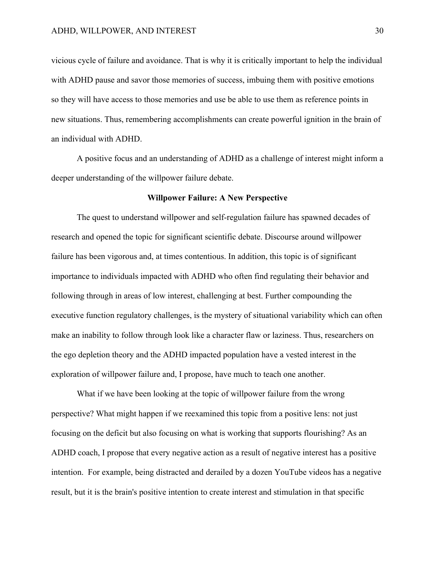vicious cycle of failure and avoidance. That is why it is critically important to help the individual with ADHD pause and savor those memories of success, imbuing them with positive emotions so they will have access to those memories and use be able to use them as reference points in new situations. Thus, remembering accomplishments can create powerful ignition in the brain of an individual with ADHD.

A positive focus and an understanding of ADHD as a challenge of interest might inform a deeper understanding of the willpower failure debate.

#### **Willpower Failure: A New Perspective**

The quest to understand willpower and self-regulation failure has spawned decades of research and opened the topic for significant scientific debate. Discourse around willpower failure has been vigorous and, at times contentious. In addition, this topic is of significant importance to individuals impacted with ADHD who often find regulating their behavior and following through in areas of low interest, challenging at best. Further compounding the executive function regulatory challenges, is the mystery of situational variability which can often make an inability to follow through look like a character flaw or laziness. Thus, researchers on the ego depletion theory and the ADHD impacted population have a vested interest in the exploration of willpower failure and, I propose, have much to teach one another.

What if we have been looking at the topic of willpower failure from the wrong perspective? What might happen if we reexamined this topic from a positive lens: not just focusing on the deficit but also focusing on what is working that supports flourishing? As an ADHD coach, I propose that every negative action as a result of negative interest has a positive intention. For example, being distracted and derailed by a dozen YouTube videos has a negative result, but it is the brain's positive intention to create interest and stimulation in that specific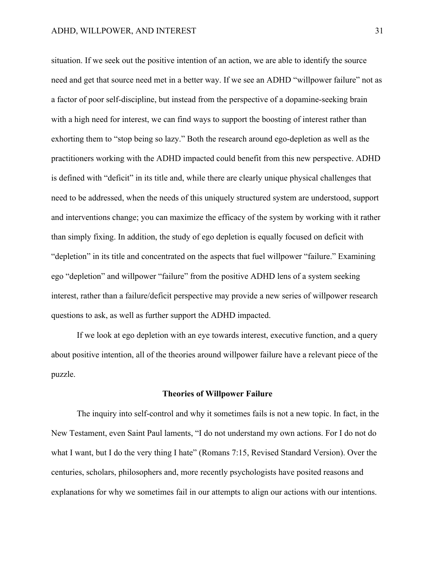situation. If we seek out the positive intention of an action, we are able to identify the source need and get that source need met in a better way. If we see an ADHD "willpower failure" not as a factor of poor self-discipline, but instead from the perspective of a dopamine-seeking brain with a high need for interest, we can find ways to support the boosting of interest rather than exhorting them to "stop being so lazy." Both the research around ego-depletion as well as the practitioners working with the ADHD impacted could benefit from this new perspective. ADHD is defined with "deficit" in its title and, while there are clearly unique physical challenges that need to be addressed, when the needs of this uniquely structured system are understood, support and interventions change; you can maximize the efficacy of the system by working with it rather than simply fixing. In addition, the study of ego depletion is equally focused on deficit with "depletion" in its title and concentrated on the aspects that fuel willpower "failure." Examining ego "depletion" and willpower "failure" from the positive ADHD lens of a system seeking interest, rather than a failure/deficit perspective may provide a new series of willpower research questions to ask, as well as further support the ADHD impacted.

If we look at ego depletion with an eye towards interest, executive function, and a query about positive intention, all of the theories around willpower failure have a relevant piece of the puzzle.

#### **Theories of Willpower Failure**

The inquiry into self-control and why it sometimes fails is not a new topic. In fact, in the New Testament, even Saint Paul laments, "I do not understand my own actions. For I do not do what I want, but I do the very thing I hate" (Romans 7:15, Revised Standard Version). Over the centuries, scholars, philosophers and, more recently psychologists have posited reasons and explanations for why we sometimes fail in our attempts to align our actions with our intentions.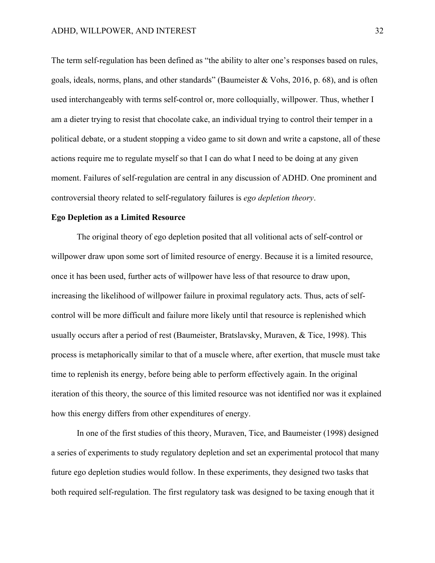The term self-regulation has been defined as "the ability to alter one's responses based on rules, goals, ideals, norms, plans, and other standards" (Baumeister & Vohs, 2016, p. 68), and is often used interchangeably with terms self-control or, more colloquially, willpower. Thus, whether I am a dieter trying to resist that chocolate cake, an individual trying to control their temper in a political debate, or a student stopping a video game to sit down and write a capstone, all of these actions require me to regulate myself so that I can do what I need to be doing at any given moment. Failures of self-regulation are central in any discussion of ADHD. One prominent and controversial theory related to self-regulatory failures is *ego depletion theory*.

## **Ego Depletion as a Limited Resource**

The original theory of ego depletion posited that all volitional acts of self-control or willpower draw upon some sort of limited resource of energy. Because it is a limited resource, once it has been used, further acts of willpower have less of that resource to draw upon, increasing the likelihood of willpower failure in proximal regulatory acts. Thus, acts of selfcontrol will be more difficult and failure more likely until that resource is replenished which usually occurs after a period of rest (Baumeister, Bratslavsky, Muraven, & Tice, 1998). This process is metaphorically similar to that of a muscle where, after exertion, that muscle must take time to replenish its energy, before being able to perform effectively again. In the original iteration of this theory, the source of this limited resource was not identified nor was it explained how this energy differs from other expenditures of energy.

In one of the first studies of this theory, Muraven, Tice, and Baumeister (1998) designed a series of experiments to study regulatory depletion and set an experimental protocol that many future ego depletion studies would follow. In these experiments, they designed two tasks that both required self-regulation. The first regulatory task was designed to be taxing enough that it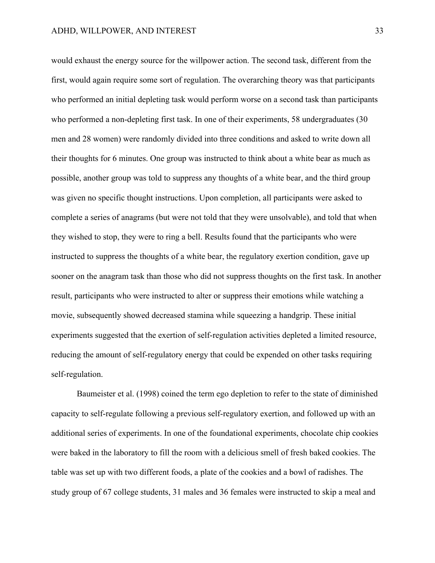would exhaust the energy source for the willpower action. The second task, different from the first, would again require some sort of regulation. The overarching theory was that participants who performed an initial depleting task would perform worse on a second task than participants who performed a non-depleting first task. In one of their experiments, 58 undergraduates (30 men and 28 women) were randomly divided into three conditions and asked to write down all their thoughts for 6 minutes. One group was instructed to think about a white bear as much as possible, another group was told to suppress any thoughts of a white bear, and the third group was given no specific thought instructions. Upon completion, all participants were asked to complete a series of anagrams (but were not told that they were unsolvable), and told that when they wished to stop, they were to ring a bell. Results found that the participants who were instructed to suppress the thoughts of a white bear, the regulatory exertion condition, gave up sooner on the anagram task than those who did not suppress thoughts on the first task. In another result, participants who were instructed to alter or suppress their emotions while watching a movie, subsequently showed decreased stamina while squeezing a handgrip. These initial experiments suggested that the exertion of self-regulation activities depleted a limited resource, reducing the amount of self-regulatory energy that could be expended on other tasks requiring self-regulation.

Baumeister et al. (1998) coined the term ego depletion to refer to the state of diminished capacity to self-regulate following a previous self-regulatory exertion, and followed up with an additional series of experiments. In one of the foundational experiments, chocolate chip cookies were baked in the laboratory to fill the room with a delicious smell of fresh baked cookies. The table was set up with two different foods, a plate of the cookies and a bowl of radishes. The study group of 67 college students, 31 males and 36 females were instructed to skip a meal and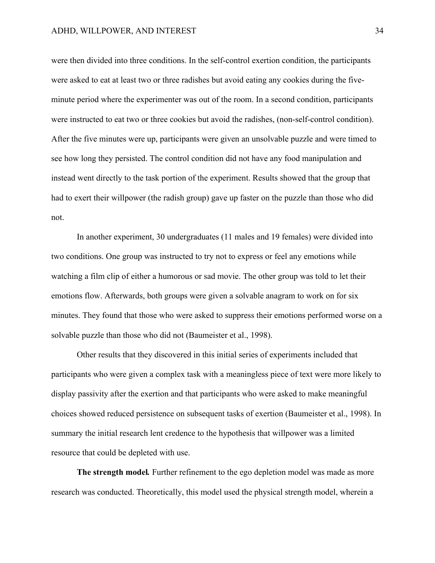were then divided into three conditions. In the self-control exertion condition, the participants were asked to eat at least two or three radishes but avoid eating any cookies during the fiveminute period where the experimenter was out of the room. In a second condition, participants were instructed to eat two or three cookies but avoid the radishes, (non-self-control condition). After the five minutes were up, participants were given an unsolvable puzzle and were timed to see how long they persisted. The control condition did not have any food manipulation and instead went directly to the task portion of the experiment. Results showed that the group that had to exert their willpower (the radish group) gave up faster on the puzzle than those who did not.

In another experiment, 30 undergraduates (11 males and 19 females) were divided into two conditions. One group was instructed to try not to express or feel any emotions while watching a film clip of either a humorous or sad movie. The other group was told to let their emotions flow. Afterwards, both groups were given a solvable anagram to work on for six minutes. They found that those who were asked to suppress their emotions performed worse on a solvable puzzle than those who did not (Baumeister et al., 1998).

Other results that they discovered in this initial series of experiments included that participants who were given a complex task with a meaningless piece of text were more likely to display passivity after the exertion and that participants who were asked to make meaningful choices showed reduced persistence on subsequent tasks of exertion (Baumeister et al., 1998). In summary the initial research lent credence to the hypothesis that willpower was a limited resource that could be depleted with use.

**The strength model***.* Further refinement to the ego depletion model was made as more research was conducted. Theoretically, this model used the physical strength model, wherein a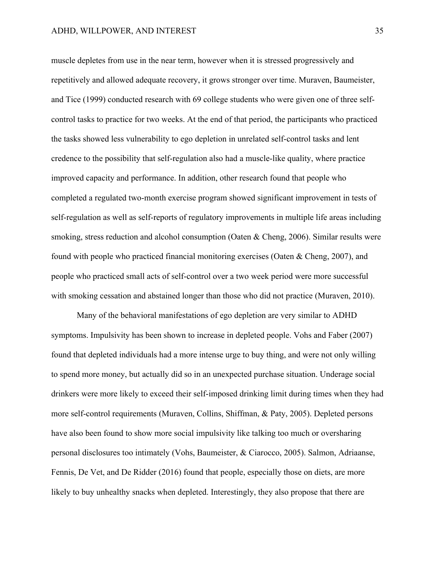muscle depletes from use in the near term, however when it is stressed progressively and repetitively and allowed adequate recovery, it grows stronger over time. Muraven, Baumeister, and Tice (1999) conducted research with 69 college students who were given one of three selfcontrol tasks to practice for two weeks. At the end of that period, the participants who practiced the tasks showed less vulnerability to ego depletion in unrelated self-control tasks and lent credence to the possibility that self-regulation also had a muscle-like quality, where practice improved capacity and performance. In addition, other research found that people who completed a regulated two-month exercise program showed significant improvement in tests of self-regulation as well as self-reports of regulatory improvements in multiple life areas including smoking, stress reduction and alcohol consumption (Oaten & Cheng, 2006). Similar results were found with people who practiced financial monitoring exercises (Oaten & Cheng, 2007), and people who practiced small acts of self-control over a two week period were more successful with smoking cessation and abstained longer than those who did not practice (Muraven, 2010).

Many of the behavioral manifestations of ego depletion are very similar to ADHD symptoms. Impulsivity has been shown to increase in depleted people. Vohs and Faber (2007) found that depleted individuals had a more intense urge to buy thing, and were not only willing to spend more money, but actually did so in an unexpected purchase situation. Underage social drinkers were more likely to exceed their self-imposed drinking limit during times when they had more self-control requirements (Muraven, Collins, Shiffman, & Paty, 2005). Depleted persons have also been found to show more social impulsivity like talking too much or oversharing personal disclosures too intimately (Vohs, Baumeister, & Ciarocco, 2005). Salmon, Adriaanse, Fennis, De Vet, and De Ridder (2016) found that people, especially those on diets, are more likely to buy unhealthy snacks when depleted. Interestingly, they also propose that there are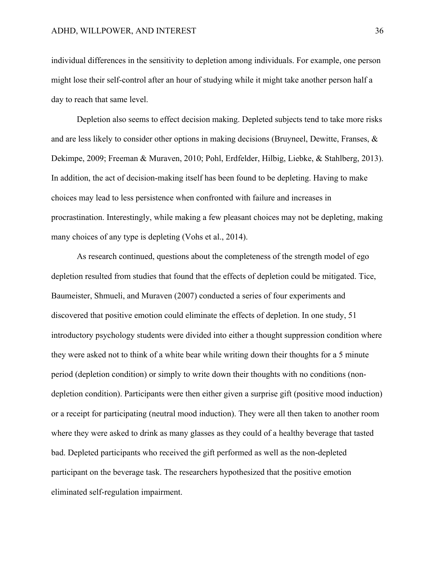individual differences in the sensitivity to depletion among individuals. For example, one person might lose their self-control after an hour of studying while it might take another person half a day to reach that same level.

Depletion also seems to effect decision making. Depleted subjects tend to take more risks and are less likely to consider other options in making decisions (Bruyneel, Dewitte, Franses, & Dekimpe, 2009; Freeman & Muraven, 2010; Pohl, Erdfelder, Hilbig, Liebke, & Stahlberg, 2013). In addition, the act of decision-making itself has been found to be depleting. Having to make choices may lead to less persistence when confronted with failure and increases in procrastination. Interestingly, while making a few pleasant choices may not be depleting, making many choices of any type is depleting (Vohs et al., 2014).

As research continued, questions about the completeness of the strength model of ego depletion resulted from studies that found that the effects of depletion could be mitigated. Tice, Baumeister, Shmueli, and Muraven (2007) conducted a series of four experiments and discovered that positive emotion could eliminate the effects of depletion. In one study, 51 introductory psychology students were divided into either a thought suppression condition where they were asked not to think of a white bear while writing down their thoughts for a 5 minute period (depletion condition) or simply to write down their thoughts with no conditions (nondepletion condition). Participants were then either given a surprise gift (positive mood induction) or a receipt for participating (neutral mood induction). They were all then taken to another room where they were asked to drink as many glasses as they could of a healthy beverage that tasted bad. Depleted participants who received the gift performed as well as the non-depleted participant on the beverage task. The researchers hypothesized that the positive emotion eliminated self-regulation impairment.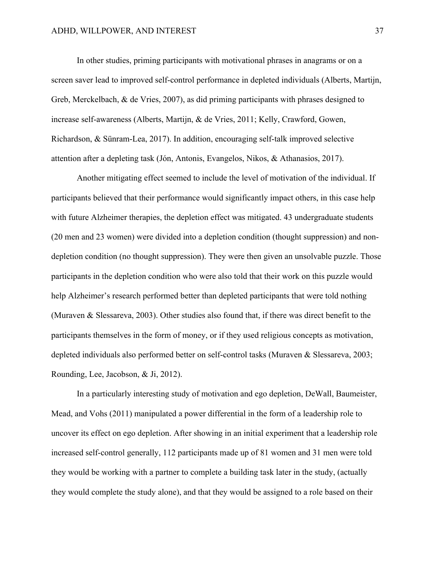In other studies, priming participants with motivational phrases in anagrams or on a screen saver lead to improved self-control performance in depleted individuals (Alberts, Martijn, Greb, Merckelbach, & de Vries, 2007), as did priming participants with phrases designed to increase self-awareness (Alberts, Martijn, & de Vries, 2011; Kelly, Crawford, Gowen, Richardson, & Sünram-Lea, 2017). In addition, encouraging self-talk improved selective attention after a depleting task (Jón, Antonis, Evangelos, Nikos, & Athanasios, 2017).

Another mitigating effect seemed to include the level of motivation of the individual. If participants believed that their performance would significantly impact others, in this case help with future Alzheimer therapies, the depletion effect was mitigated. 43 undergraduate students (20 men and 23 women) were divided into a depletion condition (thought suppression) and nondepletion condition (no thought suppression). They were then given an unsolvable puzzle. Those participants in the depletion condition who were also told that their work on this puzzle would help Alzheimer's research performed better than depleted participants that were told nothing (Muraven & Slessareva, 2003). Other studies also found that, if there was direct benefit to the participants themselves in the form of money, or if they used religious concepts as motivation, depleted individuals also performed better on self-control tasks (Muraven & Slessareva, 2003; Rounding, Lee, Jacobson, & Ji, 2012).

In a particularly interesting study of motivation and ego depletion, DeWall, Baumeister, Mead, and Vohs (2011) manipulated a power differential in the form of a leadership role to uncover its effect on ego depletion. After showing in an initial experiment that a leadership role increased self-control generally, 112 participants made up of 81 women and 31 men were told they would be working with a partner to complete a building task later in the study, (actually they would complete the study alone), and that they would be assigned to a role based on their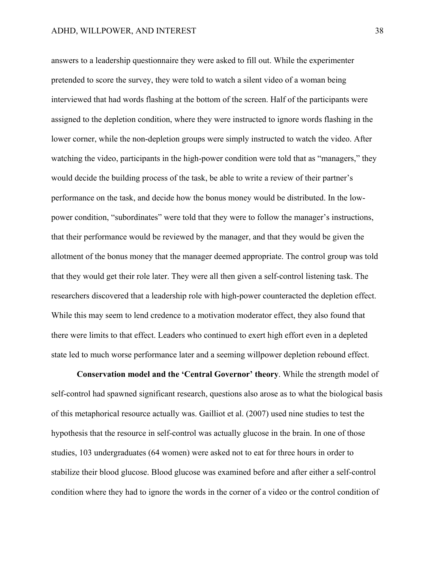answers to a leadership questionnaire they were asked to fill out. While the experimenter pretended to score the survey, they were told to watch a silent video of a woman being interviewed that had words flashing at the bottom of the screen. Half of the participants were assigned to the depletion condition, where they were instructed to ignore words flashing in the lower corner, while the non-depletion groups were simply instructed to watch the video. After watching the video, participants in the high-power condition were told that as "managers," they would decide the building process of the task, be able to write a review of their partner's performance on the task, and decide how the bonus money would be distributed. In the lowpower condition, "subordinates" were told that they were to follow the manager's instructions, that their performance would be reviewed by the manager, and that they would be given the allotment of the bonus money that the manager deemed appropriate. The control group was told that they would get their role later. They were all then given a self-control listening task. The researchers discovered that a leadership role with high-power counteracted the depletion effect. While this may seem to lend credence to a motivation moderator effect, they also found that there were limits to that effect. Leaders who continued to exert high effort even in a depleted state led to much worse performance later and a seeming willpower depletion rebound effect.

**Conservation model and the 'Central Governor' theory**. While the strength model of self-control had spawned significant research, questions also arose as to what the biological basis of this metaphorical resource actually was. Gailliot et al. (2007) used nine studies to test the hypothesis that the resource in self-control was actually glucose in the brain. In one of those studies, 103 undergraduates (64 women) were asked not to eat for three hours in order to stabilize their blood glucose. Blood glucose was examined before and after either a self-control condition where they had to ignore the words in the corner of a video or the control condition of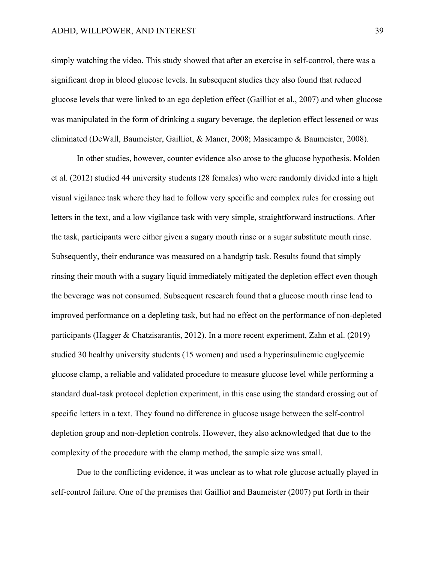simply watching the video. This study showed that after an exercise in self-control, there was a significant drop in blood glucose levels. In subsequent studies they also found that reduced glucose levels that were linked to an ego depletion effect (Gailliot et al., 2007) and when glucose was manipulated in the form of drinking a sugary beverage, the depletion effect lessened or was eliminated (DeWall, Baumeister, Gailliot, & Maner, 2008; Masicampo & Baumeister, 2008).

In other studies, however, counter evidence also arose to the glucose hypothesis. Molden et al. (2012) studied 44 university students (28 females) who were randomly divided into a high visual vigilance task where they had to follow very specific and complex rules for crossing out letters in the text, and a low vigilance task with very simple, straightforward instructions. After the task, participants were either given a sugary mouth rinse or a sugar substitute mouth rinse. Subsequently, their endurance was measured on a handgrip task. Results found that simply rinsing their mouth with a sugary liquid immediately mitigated the depletion effect even though the beverage was not consumed. Subsequent research found that a glucose mouth rinse lead to improved performance on a depleting task, but had no effect on the performance of non-depleted participants (Hagger & Chatzisarantis, 2012). In a more recent experiment, Zahn et al. (2019) studied 30 healthy university students (15 women) and used a hyperinsulinemic euglycemic glucose clamp, a reliable and validated procedure to measure glucose level while performing a standard dual-task protocol depletion experiment, in this case using the standard crossing out of specific letters in a text. They found no difference in glucose usage between the self-control depletion group and non-depletion controls. However, they also acknowledged that due to the complexity of the procedure with the clamp method, the sample size was small.

Due to the conflicting evidence, it was unclear as to what role glucose actually played in self-control failure. One of the premises that Gailliot and Baumeister (2007) put forth in their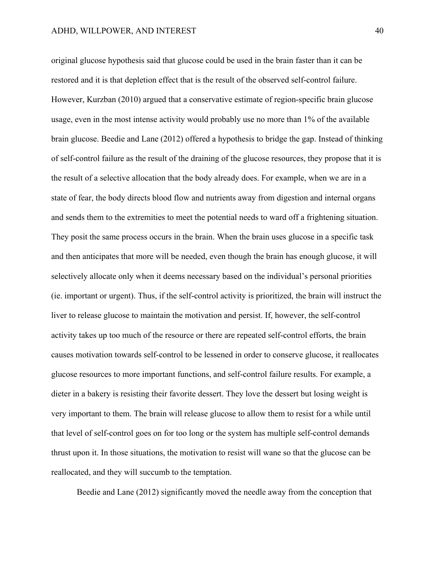original glucose hypothesis said that glucose could be used in the brain faster than it can be restored and it is that depletion effect that is the result of the observed self-control failure. However, Kurzban (2010) argued that a conservative estimate of region-specific brain glucose usage, even in the most intense activity would probably use no more than 1% of the available brain glucose. Beedie and Lane (2012) offered a hypothesis to bridge the gap. Instead of thinking of self-control failure as the result of the draining of the glucose resources, they propose that it is the result of a selective allocation that the body already does. For example, when we are in a state of fear, the body directs blood flow and nutrients away from digestion and internal organs and sends them to the extremities to meet the potential needs to ward off a frightening situation. They posit the same process occurs in the brain. When the brain uses glucose in a specific task and then anticipates that more will be needed, even though the brain has enough glucose, it will selectively allocate only when it deems necessary based on the individual's personal priorities (ie. important or urgent). Thus, if the self-control activity is prioritized, the brain will instruct the liver to release glucose to maintain the motivation and persist. If, however, the self-control activity takes up too much of the resource or there are repeated self-control efforts, the brain causes motivation towards self-control to be lessened in order to conserve glucose, it reallocates glucose resources to more important functions, and self-control failure results. For example, a dieter in a bakery is resisting their favorite dessert. They love the dessert but losing weight is very important to them. The brain will release glucose to allow them to resist for a while until that level of self-control goes on for too long or the system has multiple self-control demands thrust upon it. In those situations, the motivation to resist will wane so that the glucose can be reallocated, and they will succumb to the temptation.

Beedie and Lane (2012) significantly moved the needle away from the conception that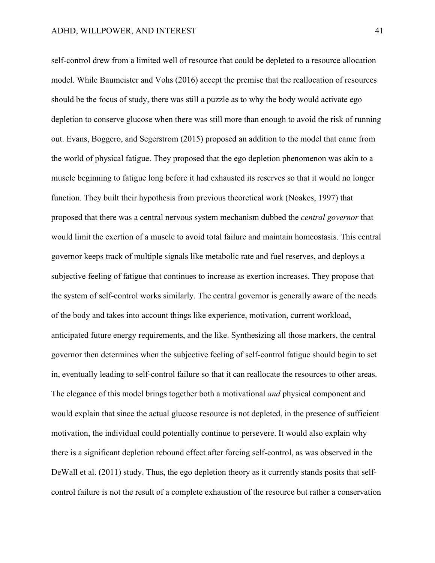self-control drew from a limited well of resource that could be depleted to a resource allocation model. While Baumeister and Vohs (2016) accept the premise that the reallocation of resources should be the focus of study, there was still a puzzle as to why the body would activate ego depletion to conserve glucose when there was still more than enough to avoid the risk of running out. Evans, Boggero, and Segerstrom (2015) proposed an addition to the model that came from the world of physical fatigue. They proposed that the ego depletion phenomenon was akin to a muscle beginning to fatigue long before it had exhausted its reserves so that it would no longer function. They built their hypothesis from previous theoretical work (Noakes, 1997) that proposed that there was a central nervous system mechanism dubbed the *central governor* that would limit the exertion of a muscle to avoid total failure and maintain homeostasis. This central governor keeps track of multiple signals like metabolic rate and fuel reserves, and deploys a subjective feeling of fatigue that continues to increase as exertion increases. They propose that the system of self-control works similarly. The central governor is generally aware of the needs of the body and takes into account things like experience, motivation, current workload, anticipated future energy requirements, and the like. Synthesizing all those markers, the central governor then determines when the subjective feeling of self-control fatigue should begin to set in, eventually leading to self-control failure so that it can reallocate the resources to other areas. The elegance of this model brings together both a motivational *and* physical component and would explain that since the actual glucose resource is not depleted, in the presence of sufficient motivation, the individual could potentially continue to persevere. It would also explain why there is a significant depletion rebound effect after forcing self-control, as was observed in the DeWall et al. (2011) study. Thus, the ego depletion theory as it currently stands posits that selfcontrol failure is not the result of a complete exhaustion of the resource but rather a conservation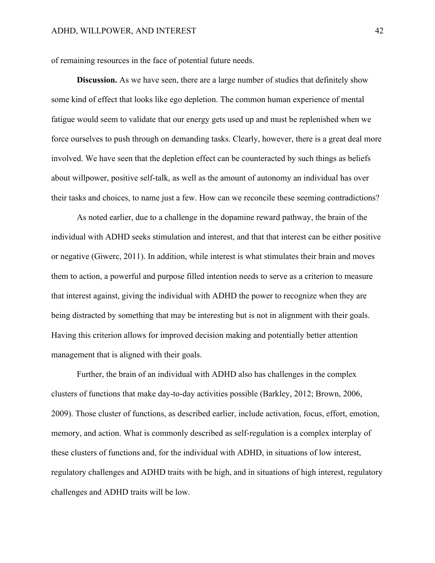of remaining resources in the face of potential future needs.

**Discussion.** As we have seen, there are a large number of studies that definitely show some kind of effect that looks like ego depletion. The common human experience of mental fatigue would seem to validate that our energy gets used up and must be replenished when we force ourselves to push through on demanding tasks. Clearly, however, there is a great deal more involved. We have seen that the depletion effect can be counteracted by such things as beliefs about willpower, positive self-talk, as well as the amount of autonomy an individual has over their tasks and choices, to name just a few. How can we reconcile these seeming contradictions?

As noted earlier, due to a challenge in the dopamine reward pathway, the brain of the individual with ADHD seeks stimulation and interest, and that that interest can be either positive or negative (Giwerc, 2011). In addition, while interest is what stimulates their brain and moves them to action, a powerful and purpose filled intention needs to serve as a criterion to measure that interest against, giving the individual with ADHD the power to recognize when they are being distracted by something that may be interesting but is not in alignment with their goals. Having this criterion allows for improved decision making and potentially better attention management that is aligned with their goals.

Further, the brain of an individual with ADHD also has challenges in the complex clusters of functions that make day-to-day activities possible (Barkley, 2012; Brown, 2006, 2009). Those cluster of functions, as described earlier, include activation, focus, effort, emotion, memory, and action. What is commonly described as self-regulation is a complex interplay of these clusters of functions and, for the individual with ADHD, in situations of low interest, regulatory challenges and ADHD traits with be high, and in situations of high interest, regulatory challenges and ADHD traits will be low.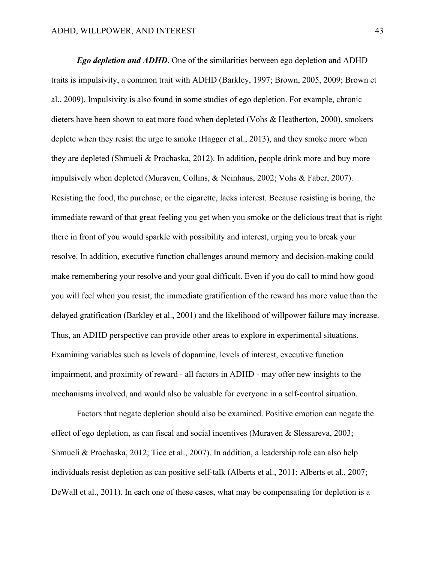*Ego depletion and ADHD*. One of the similarities between ego depletion and ADHD traits is impulsivity, a common trait with ADHD (Barkley, 1997; Brown, 2005, 2009; Brown et al., 2009). Impulsivity is also found in some studies of ego depletion. For example, chronic dieters have been shown to eat more food when depleted (Vohs & Heatherton, 2000), smokers deplete when they resist the urge to smoke (Hagger et al., 2013), and they smoke more when they are depleted (Shmueli & Prochaska, 2012). In addition, people drink more and buy more impulsively when depleted (Muraven, Collins, & Neinhaus, 2002; Vohs & Faber, 2007). Resisting the food, the purchase, or the cigarette, lacks interest. Because resisting is boring, the immediate reward of that great feeling you get when you smoke or the delicious treat that is right there in front of you would sparkle with possibility and interest, urging you to break your resolve. In addition, executive function challenges around memory and decision-making could make remembering your resolve and your goal difficult. Even if you do call to mind how good you will feel when you resist, the immediate gratification of the reward has more value than the delayed gratification (Barkley et al., 2001) and the likelihood of willpower failure may increase. Thus, an ADHD perspective can provide other areas to explore in experimental situations. Examining variables such as levels of dopamine, levels of interest, executive function impairment, and proximity of reward - all factors in ADHD - may offer new insights to the mechanisms involved, and would also be valuable for everyone in a self-control situation.

Factors that negate depletion should also be examined. Positive emotion can negate the effect of ego depletion, as can fiscal and social incentives (Muraven & Slessareva, 2003; Shmueli & Prochaska, 2012; Tice et al., 2007). In addition, a leadership role can also help individuals resist depletion as can positive self-talk (Alberts et al., 2011; Alberts et al., 2007; DeWall et al., 2011). In each one of these cases, what may be compensating for depletion is a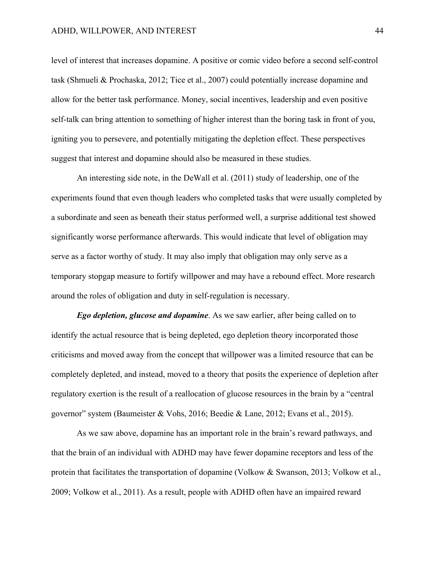level of interest that increases dopamine. A positive or comic video before a second self-control task (Shmueli & Prochaska, 2012; Tice et al., 2007) could potentially increase dopamine and allow for the better task performance. Money, social incentives, leadership and even positive self-talk can bring attention to something of higher interest than the boring task in front of you, igniting you to persevere, and potentially mitigating the depletion effect. These perspectives suggest that interest and dopamine should also be measured in these studies.

An interesting side note, in the DeWall et al. (2011) study of leadership, one of the experiments found that even though leaders who completed tasks that were usually completed by a subordinate and seen as beneath their status performed well, a surprise additional test showed significantly worse performance afterwards. This would indicate that level of obligation may serve as a factor worthy of study. It may also imply that obligation may only serve as a temporary stopgap measure to fortify willpower and may have a rebound effect. More research around the roles of obligation and duty in self-regulation is necessary.

*Ego depletion, glucose and dopamine*. As we saw earlier, after being called on to identify the actual resource that is being depleted, ego depletion theory incorporated those criticisms and moved away from the concept that willpower was a limited resource that can be completely depleted, and instead, moved to a theory that posits the experience of depletion after regulatory exertion is the result of a reallocation of glucose resources in the brain by a "central governor" system (Baumeister & Vohs, 2016; Beedie & Lane, 2012; Evans et al., 2015).

As we saw above, dopamine has an important role in the brain's reward pathways, and that the brain of an individual with ADHD may have fewer dopamine receptors and less of the protein that facilitates the transportation of dopamine (Volkow & Swanson, 2013; Volkow et al., 2009; Volkow et al., 2011). As a result, people with ADHD often have an impaired reward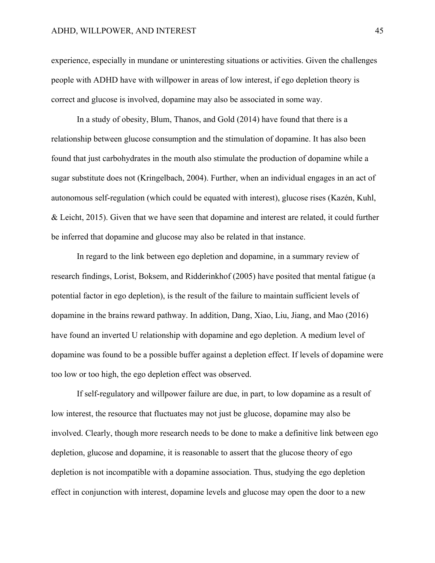experience, especially in mundane or uninteresting situations or activities. Given the challenges people with ADHD have with willpower in areas of low interest, if ego depletion theory is correct and glucose is involved, dopamine may also be associated in some way.

In a study of obesity, Blum, Thanos, and Gold (2014) have found that there is a relationship between glucose consumption and the stimulation of dopamine. It has also been found that just carbohydrates in the mouth also stimulate the production of dopamine while a sugar substitute does not (Kringelbach, 2004). Further, when an individual engages in an act of autonomous self-regulation (which could be equated with interest), glucose rises (Kazén, Kuhl, & Leicht, 2015). Given that we have seen that dopamine and interest are related, it could further be inferred that dopamine and glucose may also be related in that instance.

In regard to the link between ego depletion and dopamine, in a summary review of research findings, Lorist, Boksem, and Ridderinkhof (2005) have posited that mental fatigue (a potential factor in ego depletion), is the result of the failure to maintain sufficient levels of dopamine in the brains reward pathway. In addition, Dang, Xiao, Liu, Jiang, and Mao (2016) have found an inverted U relationship with dopamine and ego depletion. A medium level of dopamine was found to be a possible buffer against a depletion effect. If levels of dopamine were too low or too high, the ego depletion effect was observed.

If self-regulatory and willpower failure are due, in part, to low dopamine as a result of low interest, the resource that fluctuates may not just be glucose, dopamine may also be involved. Clearly, though more research needs to be done to make a definitive link between ego depletion, glucose and dopamine, it is reasonable to assert that the glucose theory of ego depletion is not incompatible with a dopamine association. Thus, studying the ego depletion effect in conjunction with interest, dopamine levels and glucose may open the door to a new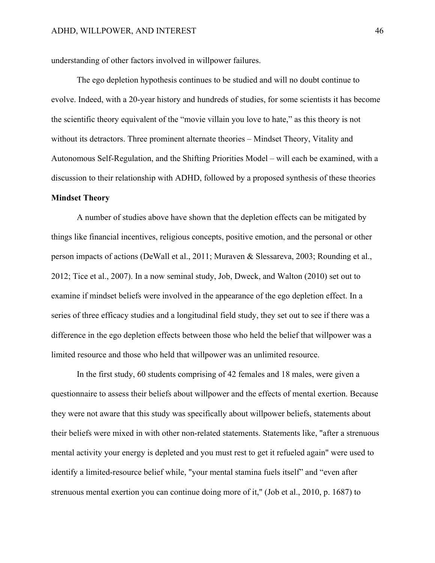understanding of other factors involved in willpower failures.

The ego depletion hypothesis continues to be studied and will no doubt continue to evolve. Indeed, with a 20-year history and hundreds of studies, for some scientists it has become the scientific theory equivalent of the "movie villain you love to hate," as this theory is not without its detractors. Three prominent alternate theories – Mindset Theory, Vitality and Autonomous Self-Regulation, and the Shifting Priorities Model – will each be examined, with a discussion to their relationship with ADHD, followed by a proposed synthesis of these theories **Mindset Theory**

A number of studies above have shown that the depletion effects can be mitigated by things like financial incentives, religious concepts, positive emotion, and the personal or other person impacts of actions (DeWall et al., 2011; Muraven & Slessareva, 2003; Rounding et al., 2012; Tice et al., 2007). In a now seminal study, Job, Dweck, and Walton (2010) set out to examine if mindset beliefs were involved in the appearance of the ego depletion effect. In a series of three efficacy studies and a longitudinal field study, they set out to see if there was a difference in the ego depletion effects between those who held the belief that willpower was a limited resource and those who held that willpower was an unlimited resource.

In the first study, 60 students comprising of 42 females and 18 males, were given a questionnaire to assess their beliefs about willpower and the effects of mental exertion. Because they were not aware that this study was specifically about willpower beliefs, statements about their beliefs were mixed in with other non-related statements. Statements like, "after a strenuous mental activity your energy is depleted and you must rest to get it refueled again" were used to identify a limited-resource belief while, "your mental stamina fuels itself" and "even after strenuous mental exertion you can continue doing more of it," (Job et al., 2010, p. 1687) to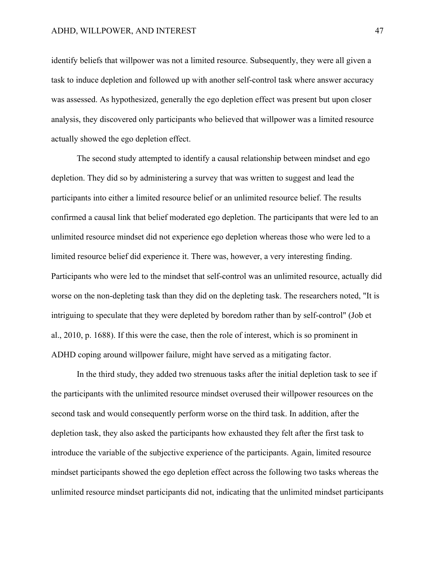identify beliefs that willpower was not a limited resource. Subsequently, they were all given a task to induce depletion and followed up with another self-control task where answer accuracy was assessed. As hypothesized, generally the ego depletion effect was present but upon closer analysis, they discovered only participants who believed that willpower was a limited resource actually showed the ego depletion effect.

The second study attempted to identify a causal relationship between mindset and ego depletion. They did so by administering a survey that was written to suggest and lead the participants into either a limited resource belief or an unlimited resource belief. The results confirmed a causal link that belief moderated ego depletion. The participants that were led to an unlimited resource mindset did not experience ego depletion whereas those who were led to a limited resource belief did experience it. There was, however, a very interesting finding. Participants who were led to the mindset that self-control was an unlimited resource, actually did worse on the non-depleting task than they did on the depleting task. The researchers noted, "It is intriguing to speculate that they were depleted by boredom rather than by self-control" (Job et al., 2010, p. 1688). If this were the case, then the role of interest, which is so prominent in ADHD coping around willpower failure, might have served as a mitigating factor.

In the third study, they added two strenuous tasks after the initial depletion task to see if the participants with the unlimited resource mindset overused their willpower resources on the second task and would consequently perform worse on the third task. In addition, after the depletion task, they also asked the participants how exhausted they felt after the first task to introduce the variable of the subjective experience of the participants. Again, limited resource mindset participants showed the ego depletion effect across the following two tasks whereas the unlimited resource mindset participants did not, indicating that the unlimited mindset participants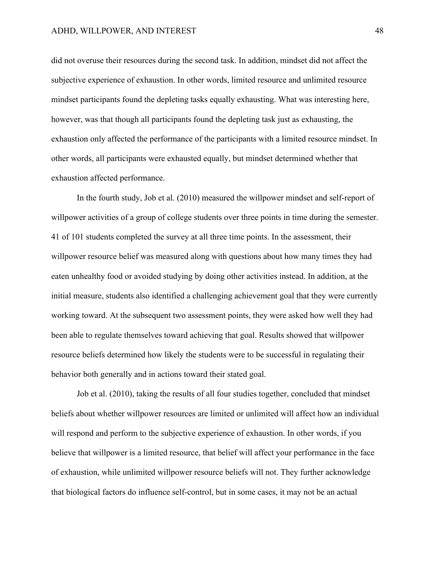did not overuse their resources during the second task. In addition, mindset did not affect the subjective experience of exhaustion. In other words, limited resource and unlimited resource mindset participants found the depleting tasks equally exhausting. What was interesting here, however, was that though all participants found the depleting task just as exhausting, the exhaustion only affected the performance of the participants with a limited resource mindset. In other words, all participants were exhausted equally, but mindset determined whether that exhaustion affected performance.

In the fourth study, Job et al. (2010) measured the willpower mindset and self-report of willpower activities of a group of college students over three points in time during the semester. 41 of 101 students completed the survey at all three time points. In the assessment, their willpower resource belief was measured along with questions about how many times they had eaten unhealthy food or avoided studying by doing other activities instead. In addition, at the initial measure, students also identified a challenging achievement goal that they were currently working toward. At the subsequent two assessment points, they were asked how well they had been able to regulate themselves toward achieving that goal. Results showed that willpower resource beliefs determined how likely the students were to be successful in regulating their behavior both generally and in actions toward their stated goal.

Job et al. (2010), taking the results of all four studies together, concluded that mindset beliefs about whether willpower resources are limited or unlimited will affect how an individual will respond and perform to the subjective experience of exhaustion. In other words, if you believe that willpower is a limited resource, that belief will affect your performance in the face of exhaustion, while unlimited willpower resource beliefs will not. They further acknowledge that biological factors do influence self-control, but in some cases, it may not be an actual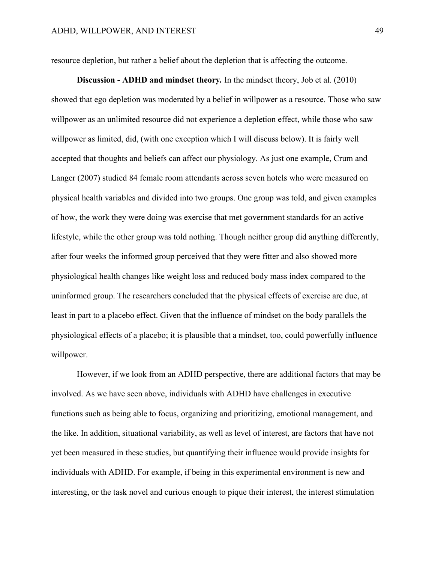resource depletion, but rather a belief about the depletion that is affecting the outcome.

**Discussion - ADHD and mindset theory***.* In the mindset theory, Job et al. (2010) showed that ego depletion was moderated by a belief in willpower as a resource. Those who saw willpower as an unlimited resource did not experience a depletion effect, while those who saw willpower as limited, did, (with one exception which I will discuss below). It is fairly well accepted that thoughts and beliefs can affect our physiology. As just one example, Crum and Langer (2007) studied 84 female room attendants across seven hotels who were measured on physical health variables and divided into two groups. One group was told, and given examples of how, the work they were doing was exercise that met government standards for an active lifestyle, while the other group was told nothing. Though neither group did anything differently, after four weeks the informed group perceived that they were fitter and also showed more physiological health changes like weight loss and reduced body mass index compared to the uninformed group. The researchers concluded that the physical effects of exercise are due, at least in part to a placebo effect. Given that the influence of mindset on the body parallels the physiological effects of a placebo; it is plausible that a mindset, too, could powerfully influence willpower.

However, if we look from an ADHD perspective, there are additional factors that may be involved. As we have seen above, individuals with ADHD have challenges in executive functions such as being able to focus, organizing and prioritizing, emotional management, and the like. In addition, situational variability, as well as level of interest, are factors that have not yet been measured in these studies, but quantifying their influence would provide insights for individuals with ADHD. For example, if being in this experimental environment is new and interesting, or the task novel and curious enough to pique their interest, the interest stimulation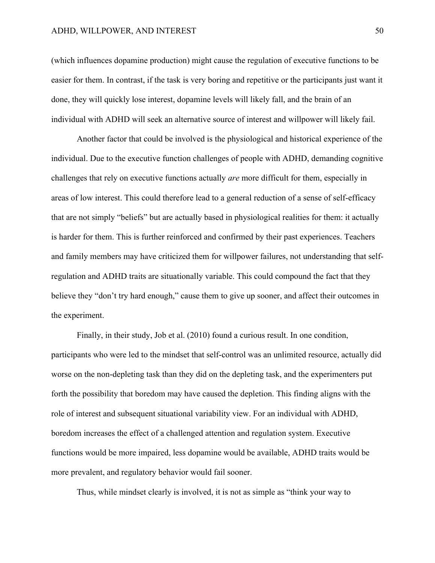### ADHD, WILLPOWER, AND INTEREST 50

(which influences dopamine production) might cause the regulation of executive functions to be easier for them. In contrast, if the task is very boring and repetitive or the participants just want it done, they will quickly lose interest, dopamine levels will likely fall, and the brain of an individual with ADHD will seek an alternative source of interest and willpower will likely fail.

Another factor that could be involved is the physiological and historical experience of the individual. Due to the executive function challenges of people with ADHD, demanding cognitive challenges that rely on executive functions actually *are* more difficult for them, especially in areas of low interest. This could therefore lead to a general reduction of a sense of self-efficacy that are not simply "beliefs" but are actually based in physiological realities for them: it actually is harder for them. This is further reinforced and confirmed by their past experiences. Teachers and family members may have criticized them for willpower failures, not understanding that selfregulation and ADHD traits are situationally variable. This could compound the fact that they believe they "don't try hard enough," cause them to give up sooner, and affect their outcomes in the experiment.

Finally, in their study, Job et al. (2010) found a curious result. In one condition, participants who were led to the mindset that self-control was an unlimited resource, actually did worse on the non-depleting task than they did on the depleting task, and the experimenters put forth the possibility that boredom may have caused the depletion. This finding aligns with the role of interest and subsequent situational variability view. For an individual with ADHD, boredom increases the effect of a challenged attention and regulation system. Executive functions would be more impaired, less dopamine would be available, ADHD traits would be more prevalent, and regulatory behavior would fail sooner.

Thus, while mindset clearly is involved, it is not as simple as "think your way to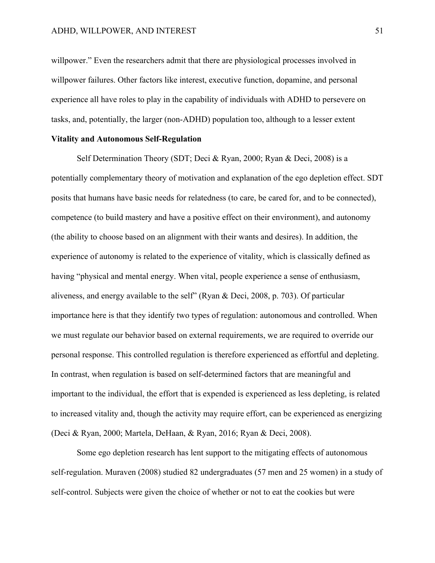willpower." Even the researchers admit that there are physiological processes involved in willpower failures. Other factors like interest, executive function, dopamine, and personal experience all have roles to play in the capability of individuals with ADHD to persevere on tasks, and, potentially, the larger (non-ADHD) population too, although to a lesser extent

# **Vitality and Autonomous Self-Regulation**

Self Determination Theory (SDT; Deci & Ryan, 2000; Ryan & Deci, 2008) is a potentially complementary theory of motivation and explanation of the ego depletion effect. SDT posits that humans have basic needs for relatedness (to care, be cared for, and to be connected), competence (to build mastery and have a positive effect on their environment), and autonomy (the ability to choose based on an alignment with their wants and desires). In addition, the experience of autonomy is related to the experience of vitality, which is classically defined as having "physical and mental energy. When vital, people experience a sense of enthusiasm, aliveness, and energy available to the self" (Ryan & Deci, 2008, p. 703). Of particular importance here is that they identify two types of regulation: autonomous and controlled. When we must regulate our behavior based on external requirements, we are required to override our personal response. This controlled regulation is therefore experienced as effortful and depleting. In contrast, when regulation is based on self-determined factors that are meaningful and important to the individual, the effort that is expended is experienced as less depleting, is related to increased vitality and, though the activity may require effort, can be experienced as energizing (Deci & Ryan, 2000; Martela, DeHaan, & Ryan, 2016; Ryan & Deci, 2008).

Some ego depletion research has lent support to the mitigating effects of autonomous self-regulation. Muraven (2008) studied 82 undergraduates (57 men and 25 women) in a study of self-control. Subjects were given the choice of whether or not to eat the cookies but were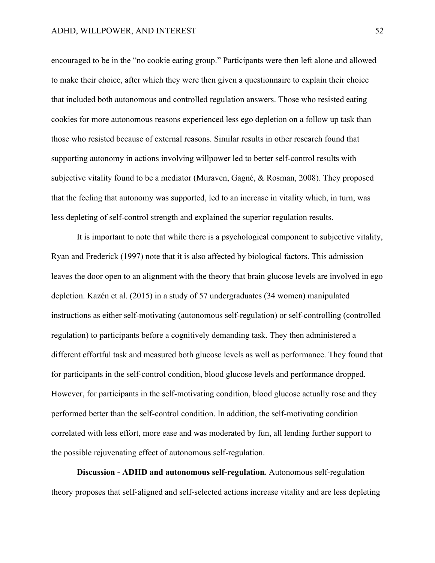encouraged to be in the "no cookie eating group." Participants were then left alone and allowed to make their choice, after which they were then given a questionnaire to explain their choice that included both autonomous and controlled regulation answers. Those who resisted eating cookies for more autonomous reasons experienced less ego depletion on a follow up task than those who resisted because of external reasons. Similar results in other research found that supporting autonomy in actions involving willpower led to better self-control results with subjective vitality found to be a mediator (Muraven, Gagné, & Rosman, 2008). They proposed that the feeling that autonomy was supported, led to an increase in vitality which, in turn, was less depleting of self-control strength and explained the superior regulation results.

It is important to note that while there is a psychological component to subjective vitality, Ryan and Frederick (1997) note that it is also affected by biological factors. This admission leaves the door open to an alignment with the theory that brain glucose levels are involved in ego depletion. Kazén et al. (2015) in a study of 57 undergraduates (34 women) manipulated instructions as either self-motivating (autonomous self-regulation) or self-controlling (controlled regulation) to participants before a cognitively demanding task. They then administered a different effortful task and measured both glucose levels as well as performance. They found that for participants in the self-control condition, blood glucose levels and performance dropped. However, for participants in the self-motivating condition, blood glucose actually rose and they performed better than the self-control condition. In addition, the self-motivating condition correlated with less effort, more ease and was moderated by fun, all lending further support to the possible rejuvenating effect of autonomous self-regulation.

**Discussion - ADHD and autonomous self-regulation***.* Autonomous self-regulation theory proposes that self-aligned and self-selected actions increase vitality and are less depleting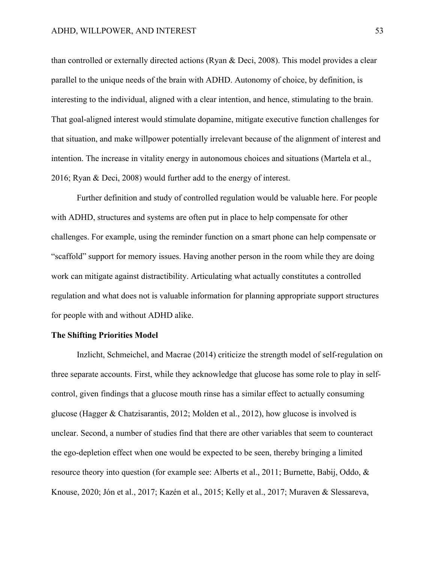than controlled or externally directed actions (Ryan & Deci, 2008). This model provides a clear parallel to the unique needs of the brain with ADHD. Autonomy of choice, by definition, is interesting to the individual, aligned with a clear intention, and hence, stimulating to the brain. That goal-aligned interest would stimulate dopamine, mitigate executive function challenges for that situation, and make willpower potentially irrelevant because of the alignment of interest and intention. The increase in vitality energy in autonomous choices and situations (Martela et al., 2016; Ryan & Deci, 2008) would further add to the energy of interest.

Further definition and study of controlled regulation would be valuable here. For people with ADHD, structures and systems are often put in place to help compensate for other challenges. For example, using the reminder function on a smart phone can help compensate or "scaffold" support for memory issues. Having another person in the room while they are doing work can mitigate against distractibility. Articulating what actually constitutes a controlled regulation and what does not is valuable information for planning appropriate support structures for people with and without ADHD alike.

# **The Shifting Priorities Model**

Inzlicht, Schmeichel, and Macrae (2014) criticize the strength model of self-regulation on three separate accounts. First, while they acknowledge that glucose has some role to play in selfcontrol, given findings that a glucose mouth rinse has a similar effect to actually consuming glucose (Hagger & Chatzisarantis, 2012; Molden et al., 2012), how glucose is involved is unclear. Second, a number of studies find that there are other variables that seem to counteract the ego-depletion effect when one would be expected to be seen, thereby bringing a limited resource theory into question (for example see: Alberts et al., 2011; Burnette, Babij, Oddo, & Knouse, 2020; Jón et al., 2017; Kazén et al., 2015; Kelly et al., 2017; Muraven & Slessareva,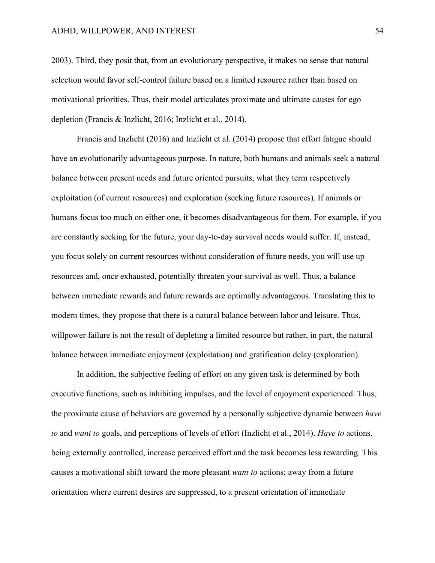2003). Third, they posit that, from an evolutionary perspective, it makes no sense that natural selection would favor self-control failure based on a limited resource rather than based on motivational priorities. Thus, their model articulates proximate and ultimate causes for ego depletion (Francis & Inzlicht, 2016; Inzlicht et al., 2014).

Francis and Inzlicht (2016) and Inzlicht et al. (2014) propose that effort fatigue should have an evolutionarily advantageous purpose. In nature, both humans and animals seek a natural balance between present needs and future oriented pursuits, what they term respectively exploitation (of current resources) and exploration (seeking future resources). If animals or humans focus too much on either one, it becomes disadvantageous for them. For example, if you are constantly seeking for the future, your day-to-day survival needs would suffer. If, instead, you focus solely on current resources without consideration of future needs, you will use up resources and, once exhausted, potentially threaten your survival as well. Thus, a balance between immediate rewards and future rewards are optimally advantageous. Translating this to modern times, they propose that there is a natural balance between labor and leisure. Thus, willpower failure is not the result of depleting a limited resource but rather, in part, the natural balance between immediate enjoyment (exploitation) and gratification delay (exploration).

In addition, the subjective feeling of effort on any given task is determined by both executive functions, such as inhibiting impulses, and the level of enjoyment experienced. Thus, the proximate cause of behaviors are governed by a personally subjective dynamic between *have to* and *want to* goals, and perceptions of levels of effort (Inzlicht et al., 2014). *Have to* actions, being externally controlled, increase perceived effort and the task becomes less rewarding. This causes a motivational shift toward the more pleasant *want to* actions; away from a future orientation where current desires are suppressed, to a present orientation of immediate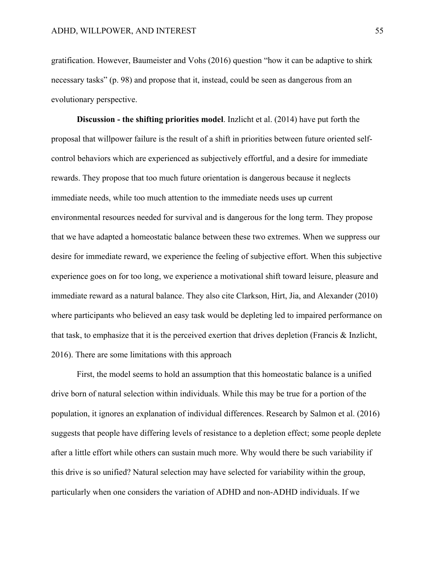gratification. However, Baumeister and Vohs (2016) question "how it can be adaptive to shirk necessary tasks" (p. 98) and propose that it, instead, could be seen as dangerous from an evolutionary perspective.

**Discussion - the shifting priorities model**. Inzlicht et al. (2014) have put forth the proposal that willpower failure is the result of a shift in priorities between future oriented selfcontrol behaviors which are experienced as subjectively effortful, and a desire for immediate rewards. They propose that too much future orientation is dangerous because it neglects immediate needs, while too much attention to the immediate needs uses up current environmental resources needed for survival and is dangerous for the long term. They propose that we have adapted a homeostatic balance between these two extremes. When we suppress our desire for immediate reward, we experience the feeling of subjective effort. When this subjective experience goes on for too long, we experience a motivational shift toward leisure, pleasure and immediate reward as a natural balance. They also cite Clarkson, Hirt, Jia, and Alexander (2010) where participants who believed an easy task would be depleting led to impaired performance on that task, to emphasize that it is the perceived exertion that drives depletion (Francis & Inzlicht, 2016). There are some limitations with this approach

First, the model seems to hold an assumption that this homeostatic balance is a unified drive born of natural selection within individuals. While this may be true for a portion of the population, it ignores an explanation of individual differences. Research by Salmon et al. (2016) suggests that people have differing levels of resistance to a depletion effect; some people deplete after a little effort while others can sustain much more. Why would there be such variability if this drive is so unified? Natural selection may have selected for variability within the group, particularly when one considers the variation of ADHD and non-ADHD individuals. If we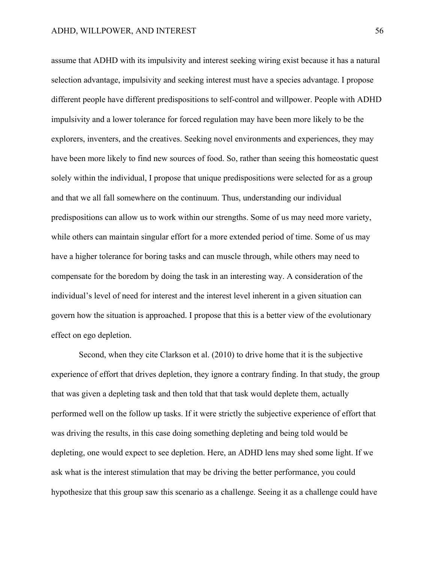assume that ADHD with its impulsivity and interest seeking wiring exist because it has a natural selection advantage, impulsivity and seeking interest must have a species advantage. I propose different people have different predispositions to self-control and willpower. People with ADHD impulsivity and a lower tolerance for forced regulation may have been more likely to be the explorers, inventers, and the creatives. Seeking novel environments and experiences, they may have been more likely to find new sources of food. So, rather than seeing this homeostatic quest solely within the individual, I propose that unique predispositions were selected for as a group and that we all fall somewhere on the continuum. Thus, understanding our individual predispositions can allow us to work within our strengths. Some of us may need more variety, while others can maintain singular effort for a more extended period of time. Some of us may have a higher tolerance for boring tasks and can muscle through, while others may need to compensate for the boredom by doing the task in an interesting way. A consideration of the individual's level of need for interest and the interest level inherent in a given situation can govern how the situation is approached. I propose that this is a better view of the evolutionary effect on ego depletion.

Second, when they cite Clarkson et al. (2010) to drive home that it is the subjective experience of effort that drives depletion, they ignore a contrary finding. In that study, the group that was given a depleting task and then told that that task would deplete them, actually performed well on the follow up tasks. If it were strictly the subjective experience of effort that was driving the results, in this case doing something depleting and being told would be depleting, one would expect to see depletion. Here, an ADHD lens may shed some light. If we ask what is the interest stimulation that may be driving the better performance, you could hypothesize that this group saw this scenario as a challenge. Seeing it as a challenge could have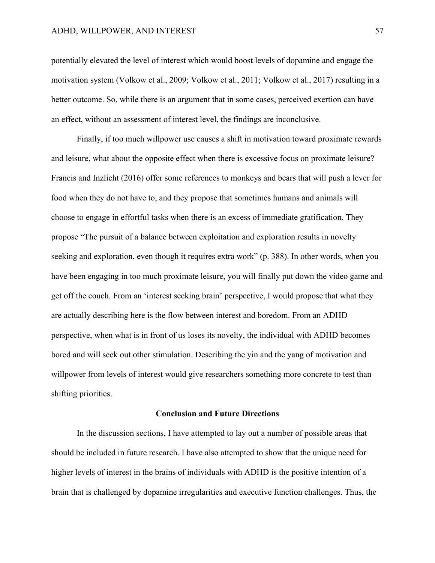potentially elevated the level of interest which would boost levels of dopamine and engage the motivation system (Volkow et al., 2009; Volkow et al., 2011; Volkow et al., 2017) resulting in a better outcome. So, while there is an argument that in some cases, perceived exertion can have an effect, without an assessment of interest level, the findings are inconclusive.

Finally, if too much willpower use causes a shift in motivation toward proximate rewards and leisure, what about the opposite effect when there is excessive focus on proximate leisure? Francis and Inzlicht (2016) offer some references to monkeys and bears that will push a lever for food when they do not have to, and they propose that sometimes humans and animals will choose to engage in effortful tasks when there is an excess of immediate gratification. They propose "The pursuit of a balance between exploitation and exploration results in novelty seeking and exploration, even though it requires extra work" (p. 388). In other words, when you have been engaging in too much proximate leisure, you will finally put down the video game and get off the couch. From an 'interest seeking brain' perspective, I would propose that what they are actually describing here is the flow between interest and boredom. From an ADHD perspective, when what is in front of us loses its novelty, the individual with ADHD becomes bored and will seek out other stimulation. Describing the yin and the yang of motivation and willpower from levels of interest would give researchers something more concrete to test than shifting priorities.

### **Conclusion and Future Directions**

In the discussion sections, I have attempted to lay out a number of possible areas that should be included in future research. I have also attempted to show that the unique need for higher levels of interest in the brains of individuals with ADHD is the positive intention of a brain that is challenged by dopamine irregularities and executive function challenges. Thus, the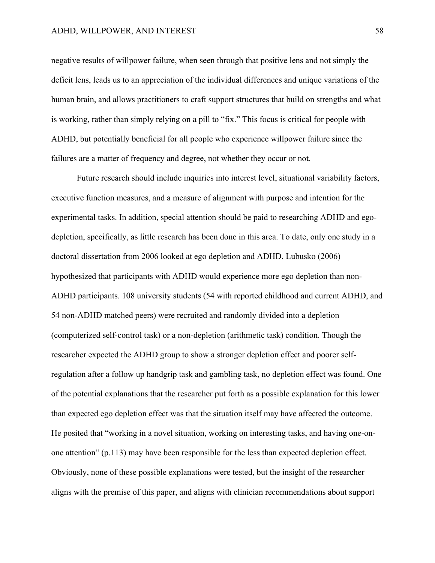negative results of willpower failure, when seen through that positive lens and not simply the deficit lens, leads us to an appreciation of the individual differences and unique variations of the human brain, and allows practitioners to craft support structures that build on strengths and what is working, rather than simply relying on a pill to "fix." This focus is critical for people with ADHD, but potentially beneficial for all people who experience willpower failure since the failures are a matter of frequency and degree, not whether they occur or not.

Future research should include inquiries into interest level, situational variability factors, executive function measures, and a measure of alignment with purpose and intention for the experimental tasks. In addition, special attention should be paid to researching ADHD and egodepletion, specifically, as little research has been done in this area. To date, only one study in a doctoral dissertation from 2006 looked at ego depletion and ADHD. Lubusko (2006) hypothesized that participants with ADHD would experience more ego depletion than non-ADHD participants. 108 university students (54 with reported childhood and current ADHD, and 54 non-ADHD matched peers) were recruited and randomly divided into a depletion (computerized self-control task) or a non-depletion (arithmetic task) condition. Though the researcher expected the ADHD group to show a stronger depletion effect and poorer selfregulation after a follow up handgrip task and gambling task, no depletion effect was found. One of the potential explanations that the researcher put forth as a possible explanation for this lower than expected ego depletion effect was that the situation itself may have affected the outcome. He posited that "working in a novel situation, working on interesting tasks, and having one-onone attention" (p.113) may have been responsible for the less than expected depletion effect. Obviously, none of these possible explanations were tested, but the insight of the researcher aligns with the premise of this paper, and aligns with clinician recommendations about support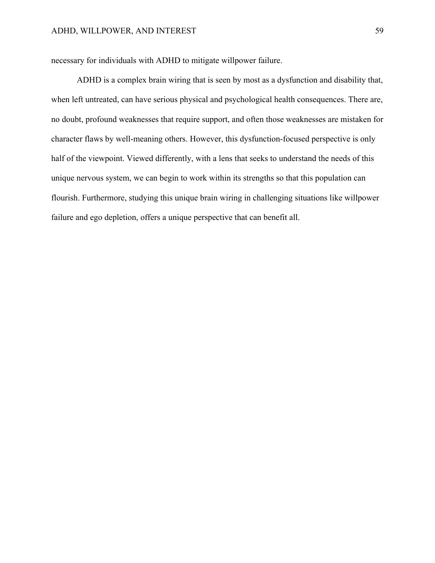necessary for individuals with ADHD to mitigate willpower failure.

ADHD is a complex brain wiring that is seen by most as a dysfunction and disability that, when left untreated, can have serious physical and psychological health consequences. There are, no doubt, profound weaknesses that require support, and often those weaknesses are mistaken for character flaws by well-meaning others. However, this dysfunction-focused perspective is only half of the viewpoint. Viewed differently, with a lens that seeks to understand the needs of this unique nervous system, we can begin to work within its strengths so that this population can flourish. Furthermore, studying this unique brain wiring in challenging situations like willpower failure and ego depletion, offers a unique perspective that can benefit all.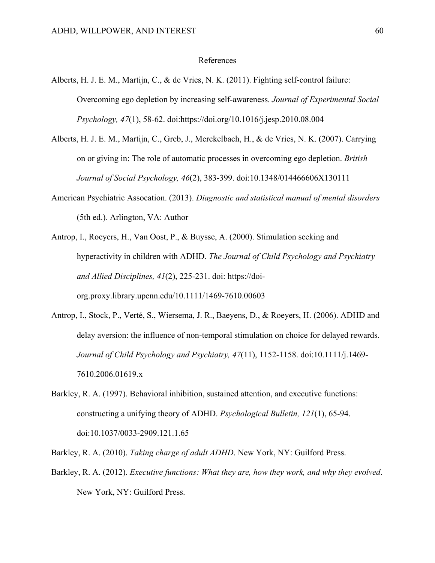### References

- Alberts, H. J. E. M., Martijn, C., & de Vries, N. K. (2011). Fighting self-control failure: Overcoming ego depletion by increasing self-awareness. *Journal of Experimental Social Psychology, 47*(1), 58-62. doi:https://doi.org/10.1016/j.jesp.2010.08.004
- Alberts, H. J. E. M., Martijn, C., Greb, J., Merckelbach, H., & de Vries, N. K. (2007). Carrying on or giving in: The role of automatic processes in overcoming ego depletion. *British Journal of Social Psychology, 46*(2), 383-399. doi:10.1348/014466606X130111
- American Psychiatric Assocation. (2013). *Diagnostic and statistical manual of mental disorders* (5th ed.). Arlington, VA: Author
- Antrop, I., Roeyers, H., Van Oost, P., & Buysse, A. (2000). Stimulation seeking and hyperactivity in children with ADHD. *The Journal of Child Psychology and Psychiatry and Allied Disciplines, 41*(2), 225-231. doi: https://doiorg.proxy.library.upenn.edu/10.1111/1469-7610.00603
- Antrop, I., Stock, P., Verté, S., Wiersema, J. R., Baeyens, D., & Roeyers, H. (2006). ADHD and delay aversion: the influence of non-temporal stimulation on choice for delayed rewards. *Journal of Child Psychology and Psychiatry, 47*(11), 1152-1158. doi:10.1111/j.1469- 7610.2006.01619.x
- Barkley, R. A. (1997). Behavioral inhibition, sustained attention, and executive functions: constructing a unifying theory of ADHD. *Psychological Bulletin, 121*(1), 65-94. doi:10.1037/0033-2909.121.1.65

Barkley, R. A. (2010). *Taking charge of adult ADHD*. New York, NY: Guilford Press.

Barkley, R. A. (2012). *Executive functions: What they are, how they work, and why they evolved*. New York, NY: Guilford Press.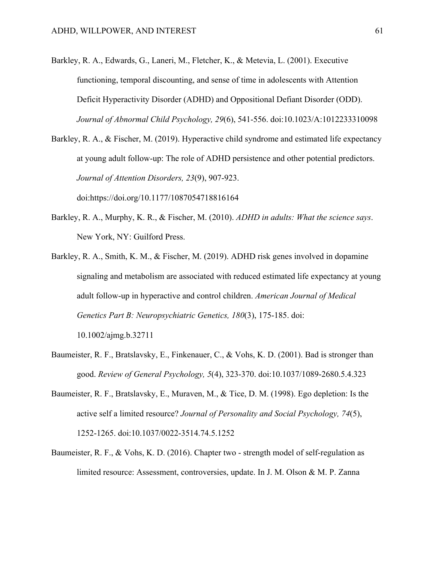- Barkley, R. A., Edwards, G., Laneri, M., Fletcher, K., & Metevia, L. (2001). Executive functioning, temporal discounting, and sense of time in adolescents with Attention Deficit Hyperactivity Disorder (ADHD) and Oppositional Defiant Disorder (ODD). *Journal of Abnormal Child Psychology, 29*(6), 541-556. doi:10.1023/A:1012233310098
- Barkley, R. A., & Fischer, M. (2019). Hyperactive child syndrome and estimated life expectancy at young adult follow-up: The role of ADHD persistence and other potential predictors. *Journal of Attention Disorders, 23*(9), 907-923.

doi:https://doi.org/10.1177/1087054718816164

- Barkley, R. A., Murphy, K. R., & Fischer, M. (2010). *ADHD in adults: What the science says*. New York, NY: Guilford Press.
- Barkley, R. A., Smith, K. M., & Fischer, M. (2019). ADHD risk genes involved in dopamine signaling and metabolism are associated with reduced estimated life expectancy at young adult follow‐up in hyperactive and control children. *American Journal of Medical Genetics Part B: Neuropsychiatric Genetics, 180*(3), 175-185. doi:

10.1002/ajmg.b.32711

- Baumeister, R. F., Bratslavsky, E., Finkenauer, C., & Vohs, K. D. (2001). Bad is stronger than good. *Review of General Psychology, 5*(4), 323-370. doi:10.1037/1089-2680.5.4.323
- Baumeister, R. F., Bratslavsky, E., Muraven, M., & Tice, D. M. (1998). Ego depletion: Is the active self a limited resource? *Journal of Personality and Social Psychology, 74*(5), 1252-1265. doi:10.1037/0022-3514.74.5.1252
- Baumeister, R. F., & Vohs, K. D. (2016). Chapter two strength model of self-regulation as limited resource: Assessment, controversies, update. In J. M. Olson & M. P. Zanna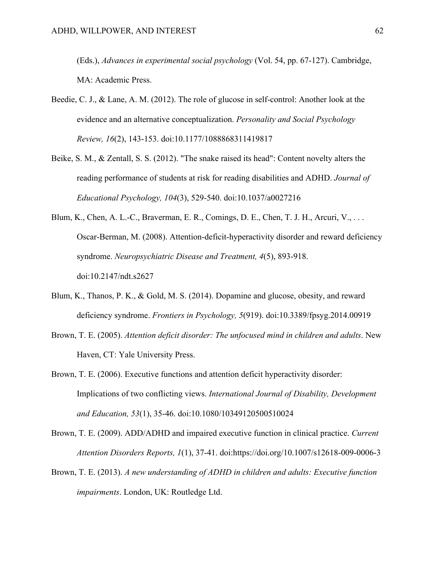(Eds.), *Advances in experimental social psychology* (Vol. 54, pp. 67-127). Cambridge, MA: Academic Press.

- Beedie, C. J., & Lane, A. M. (2012). The role of glucose in self-control: Another look at the evidence and an alternative conceptualization. *Personality and Social Psychology Review, 16*(2), 143-153. doi:10.1177/1088868311419817
- Beike, S. M., & Zentall, S. S. (2012). "The snake raised its head": Content novelty alters the reading performance of students at risk for reading disabilities and ADHD. *Journal of Educational Psychology, 104*(3), 529-540. doi:10.1037/a0027216
- Blum, K., Chen, A. L.-C., Braverman, E. R., Comings, D. E., Chen, T. J. H., Arcuri, V., . . . Oscar-Berman, M. (2008). Attention-deficit-hyperactivity disorder and reward deficiency syndrome. *Neuropsychiatric Disease and Treatment, 4*(5), 893-918. doi:10.2147/ndt.s2627
- Blum, K., Thanos, P. K., & Gold, M. S. (2014). Dopamine and glucose, obesity, and reward deficiency syndrome. *Frontiers in Psychology, 5*(919). doi:10.3389/fpsyg.2014.00919
- Brown, T. E. (2005). *Attention deficit disorder: The unfocused mind in children and adults*. New Haven, CT: Yale University Press.
- Brown, T. E. (2006). Executive functions and attention deficit hyperactivity disorder: Implications of two conflicting views. *International Journal of Disability, Development and Education, 53*(1), 35-46. doi:10.1080/10349120500510024
- Brown, T. E. (2009). ADD/ADHD and impaired executive function in clinical practice. *Current Attention Disorders Reports, 1*(1), 37-41. doi:https://doi.org/10.1007/s12618-009-0006-3
- Brown, T. E. (2013). *A new understanding of ADHD in children and adults: Executive function impairments*. London, UK: Routledge Ltd.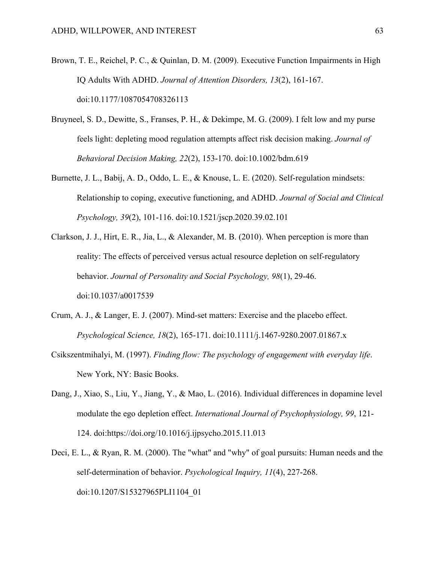- Brown, T. E., Reichel, P. C., & Quinlan, D. M. (2009). Executive Function Impairments in High IQ Adults With ADHD. *Journal of Attention Disorders, 13*(2), 161-167. doi:10.1177/1087054708326113
- Bruyneel, S. D., Dewitte, S., Franses, P. H., & Dekimpe, M. G. (2009). I felt low and my purse feels light: depleting mood regulation attempts affect risk decision making. *Journal of Behavioral Decision Making, 22*(2), 153-170. doi:10.1002/bdm.619
- Burnette, J. L., Babij, A. D., Oddo, L. E., & Knouse, L. E. (2020). Self-regulation mindsets: Relationship to coping, executive functioning, and ADHD. *Journal of Social and Clinical Psychology, 39*(2), 101-116. doi:10.1521/jscp.2020.39.02.101
- Clarkson, J. J., Hirt, E. R., Jia, L., & Alexander, M. B. (2010). When perception is more than reality: The effects of perceived versus actual resource depletion on self-regulatory behavior. *Journal of Personality and Social Psychology, 98*(1), 29-46. doi:10.1037/a0017539
- Crum, A. J., & Langer, E. J. (2007). Mind-set matters: Exercise and the placebo effect. *Psychological Science, 18*(2), 165-171. doi:10.1111/j.1467-9280.2007.01867.x
- Csikszentmihalyi, M. (1997). *Finding flow: The psychology of engagement with everyday life*. New York, NY: Basic Books.
- Dang, J., Xiao, S., Liu, Y., Jiang, Y., & Mao, L. (2016). Individual differences in dopamine level modulate the ego depletion effect. *International Journal of Psychophysiology, 99*, 121- 124. doi:https://doi.org/10.1016/j.ijpsycho.2015.11.013
- Deci, E. L., & Ryan, R. M. (2000). The "what" and "why" of goal pursuits: Human needs and the self-determination of behavior. *Psychological Inquiry, 11*(4), 227-268. doi:10.1207/S15327965PLI1104\_01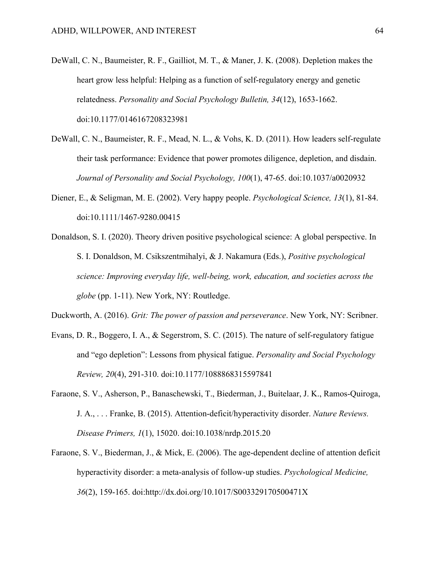- DeWall, C. N., Baumeister, R. F., Gailliot, M. T., & Maner, J. K. (2008). Depletion makes the heart grow less helpful: Helping as a function of self-regulatory energy and genetic relatedness. *Personality and Social Psychology Bulletin, 34*(12), 1653-1662. doi:10.1177/0146167208323981
- DeWall, C. N., Baumeister, R. F., Mead, N. L., & Vohs, K. D. (2011). How leaders self-regulate their task performance: Evidence that power promotes diligence, depletion, and disdain. *Journal of Personality and Social Psychology, 100*(1), 47-65. doi:10.1037/a0020932
- Diener, E., & Seligman, M. E. (2002). Very happy people. *Psychological Science, 13*(1), 81-84. doi:10.1111/1467-9280.00415
- Donaldson, S. I. (2020). Theory driven positive psychological science: A global perspective. In S. I. Donaldson, M. Csikszentmihalyi, & J. Nakamura (Eds.), *Positive psychological science: Improving everyday life, well-being, work, education, and societies across the globe* (pp. 1-11). New York, NY: Routledge.
- Duckworth, A. (2016). *Grit: The power of passion and perseverance*. New York, NY: Scribner.
- Evans, D. R., Boggero, I. A., & Segerstrom, S. C. (2015). The nature of self-regulatory fatigue and "ego depletion": Lessons from physical fatigue. *Personality and Social Psychology Review, 20*(4), 291-310. doi:10.1177/1088868315597841
- Faraone, S. V., Asherson, P., Banaschewski, T., Biederman, J., Buitelaar, J. K., Ramos-Quiroga, J. A., . . . Franke, B. (2015). Attention-deficit/hyperactivity disorder. *Nature Reviews. Disease Primers, 1*(1), 15020. doi:10.1038/nrdp.2015.20
- Faraone, S. V., Biederman, J., & Mick, E. (2006). The age-dependent decline of attention deficit hyperactivity disorder: a meta-analysis of follow-up studies. *Psychological Medicine, 36*(2), 159-165. doi:http://dx.doi.org/10.1017/S003329170500471X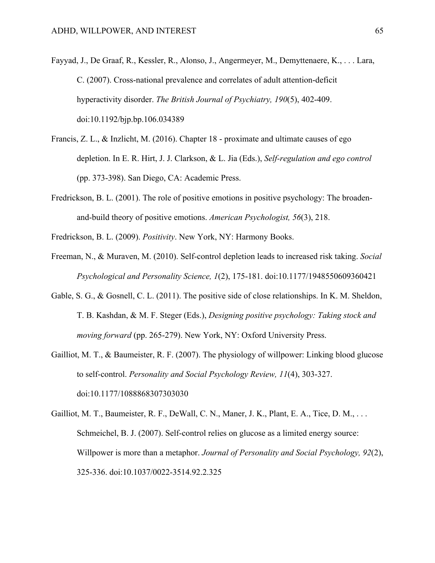- Fayyad, J., De Graaf, R., Kessler, R., Alonso, J., Angermeyer, M., Demyttenaere, K., . . . Lara, C. (2007). Cross-national prevalence and correlates of adult attention-deficit hyperactivity disorder. *The British Journal of Psychiatry, 190*(5), 402-409. doi:10.1192/bjp.bp.106.034389
- Francis, Z. L., & Inzlicht, M. (2016). Chapter 18 proximate and ultimate causes of ego depletion. In E. R. Hirt, J. J. Clarkson, & L. Jia (Eds.), *Self-regulation and ego control* (pp. 373-398). San Diego, CA: Academic Press.
- Fredrickson, B. L. (2001). The role of positive emotions in positive psychology: The broadenand-build theory of positive emotions. *American Psychologist, 56*(3), 218.
- Fredrickson, B. L. (2009). *Positivity*. New York, NY: Harmony Books.
- Freeman, N., & Muraven, M. (2010). Self-control depletion leads to increased risk taking. *Social Psychological and Personality Science, 1*(2), 175-181. doi:10.1177/1948550609360421
- Gable, S. G., & Gosnell, C. L. (2011). The positive side of close relationships. In K. M. Sheldon, T. B. Kashdan, & M. F. Steger (Eds.), *Designing positive psychology: Taking stock and moving forward* (pp. 265-279). New York, NY: Oxford University Press.
- Gailliot, M. T., & Baumeister, R. F. (2007). The physiology of willpower: Linking blood glucose to self-control. *Personality and Social Psychology Review, 11*(4), 303-327. doi:10.1177/1088868307303030
- Gailliot, M. T., Baumeister, R. F., DeWall, C. N., Maner, J. K., Plant, E. A., Tice, D. M., ... Schmeichel, B. J. (2007). Self-control relies on glucose as a limited energy source: Willpower is more than a metaphor. *Journal of Personality and Social Psychology, 92*(2), 325-336. doi:10.1037/0022-3514.92.2.325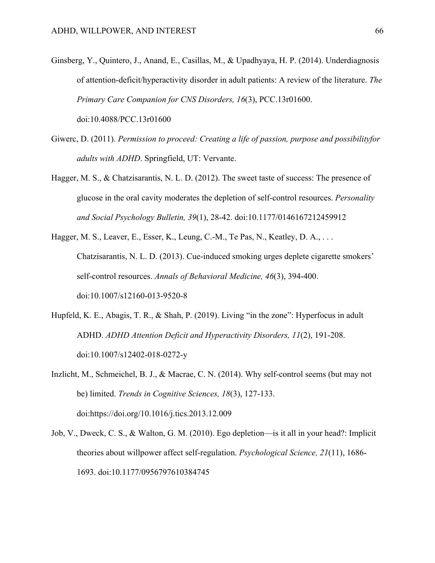- Ginsberg, Y., Quintero, J., Anand, E., Casillas, M., & Upadhyaya, H. P. (2014). Underdiagnosis of attention-deficit/hyperactivity disorder in adult patients: A review of the literature. *The Primary Care Companion for CNS Disorders, 16*(3), PCC.13r01600. doi:10.4088/PCC.13r01600
- Giwerc, D. (2011). *Permission to proceed: Creating a life of passion, purpose and possibilityfor adults with ADHD*. Springfield, UT: Vervante.
- Hagger, M. S., & Chatzisarantis, N. L. D. (2012). The sweet taste of success: The presence of glucose in the oral cavity moderates the depletion of self-control resources. *Personality and Social Psychology Bulletin, 39*(1), 28-42. doi:10.1177/0146167212459912
- Hagger, M. S., Leaver, E., Esser, K., Leung, C.-M., Te Pas, N., Keatley, D. A., ... Chatzisarantis, N. L. D. (2013). Cue-induced smoking urges deplete cigarette smokers' self-control resources. *Annals of Behavioral Medicine, 46*(3), 394-400. doi:10.1007/s12160-013-9520-8
- Hupfeld, K. E., Abagis, T. R., & Shah, P. (2019). Living "in the zone": Hyperfocus in adult ADHD. *ADHD Attention Deficit and Hyperactivity Disorders, 11*(2), 191-208. doi:10.1007/s12402-018-0272-y
- Inzlicht, M., Schmeichel, B. J., & Macrae, C. N. (2014). Why self-control seems (but may not be) limited. *Trends in Cognitive Sciences, 18*(3), 127-133. doi:https://doi.org/10.1016/j.tics.2013.12.009
- Job, V., Dweck, C. S., & Walton, G. M. (2010). Ego depletion—is it all in your head?: Implicit theories about willpower affect self-regulation. *Psychological Science, 21*(11), 1686- 1693. doi:10.1177/0956797610384745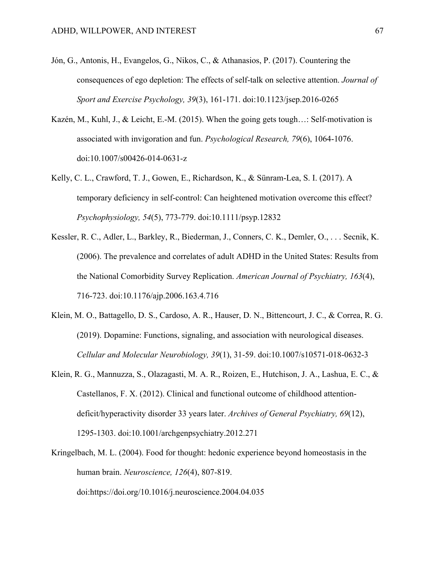- Jón, G., Antonis, H., Evangelos, G., Nikos, C., & Athanasios, P. (2017). Countering the consequences of ego depletion: The effects of self-talk on selective attention. *Journal of Sport and Exercise Psychology, 39*(3), 161-171. doi:10.1123/jsep.2016-0265
- Kazén, M., Kuhl, J., & Leicht, E.-M. (2015). When the going gets tough…: Self-motivation is associated with invigoration and fun. *Psychological Research, 79*(6), 1064-1076. doi:10.1007/s00426-014-0631-z
- Kelly, C. L., Crawford, T. J., Gowen, E., Richardson, K., & Sünram-Lea, S. I. (2017). A temporary deficiency in self-control: Can heightened motivation overcome this effect? *Psychophysiology, 54*(5), 773-779. doi:10.1111/psyp.12832
- Kessler, R. C., Adler, L., Barkley, R., Biederman, J., Conners, C. K., Demler, O., . . . Secnik, K. (2006). The prevalence and correlates of adult ADHD in the United States: Results from the National Comorbidity Survey Replication. *American Journal of Psychiatry, 163*(4), 716-723. doi:10.1176/ajp.2006.163.4.716
- Klein, M. O., Battagello, D. S., Cardoso, A. R., Hauser, D. N., Bittencourt, J. C., & Correa, R. G. (2019). Dopamine: Functions, signaling, and association with neurological diseases. *Cellular and Molecular Neurobiology, 39*(1), 31-59. doi:10.1007/s10571-018-0632-3
- Klein, R. G., Mannuzza, S., Olazagasti, M. A. R., Roizen, E., Hutchison, J. A., Lashua, E. C., & Castellanos, F. X. (2012). Clinical and functional outcome of childhood attentiondeficit/hyperactivity disorder 33 years later. *Archives of General Psychiatry, 69*(12), 1295-1303. doi:10.1001/archgenpsychiatry.2012.271
- Kringelbach, M. L. (2004). Food for thought: hedonic experience beyond homeostasis in the human brain. *Neuroscience, 126*(4), 807-819.

doi:https://doi.org/10.1016/j.neuroscience.2004.04.035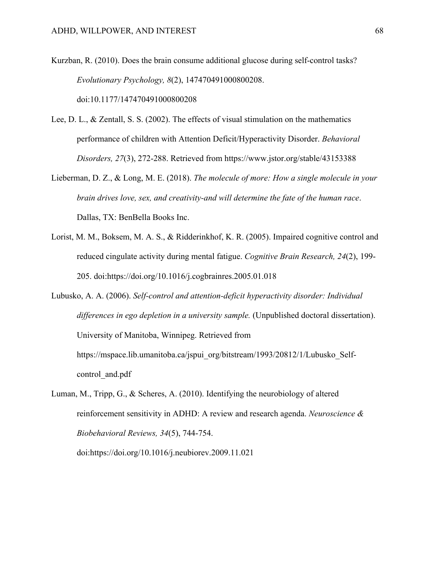Kurzban, R. (2010). Does the brain consume additional glucose during self-control tasks? *Evolutionary Psychology, 8*(2), 147470491000800208.

doi:10.1177/147470491000800208

- Lee, D. L., & Zentall, S. S. (2002). The effects of visual stimulation on the mathematics performance of children with Attention Deficit/Hyperactivity Disorder. *Behavioral Disorders, 27*(3), 272-288. Retrieved from https://www.jstor.org/stable/43153388
- Lieberman, D. Z., & Long, M. E. (2018). *The molecule of more: How a single molecule in your brain drives love, sex, and creativity-and will determine the fate of the human race*. Dallas, TX: BenBella Books Inc.
- Lorist, M. M., Boksem, M. A. S., & Ridderinkhof, K. R. (2005). Impaired cognitive control and reduced cingulate activity during mental fatigue. *Cognitive Brain Research, 24*(2), 199- 205. doi:https://doi.org/10.1016/j.cogbrainres.2005.01.018

Lubusko, A. A. (2006). *Self-control and attention-deficit hyperactivity disorder: Individual differences in ego depletion in a university sample.* (Unpublished doctoral dissertation). University of Manitoba, Winnipeg. Retrieved from https://mspace.lib.umanitoba.ca/jspui\_org/bitstream/1993/20812/1/Lubusko\_Selfcontrol\_and.pdf

Luman, M., Tripp, G., & Scheres, A. (2010). Identifying the neurobiology of altered reinforcement sensitivity in ADHD: A review and research agenda. *Neuroscience & Biobehavioral Reviews, 34*(5), 744-754. doi:https://doi.org/10.1016/j.neubiorev.2009.11.021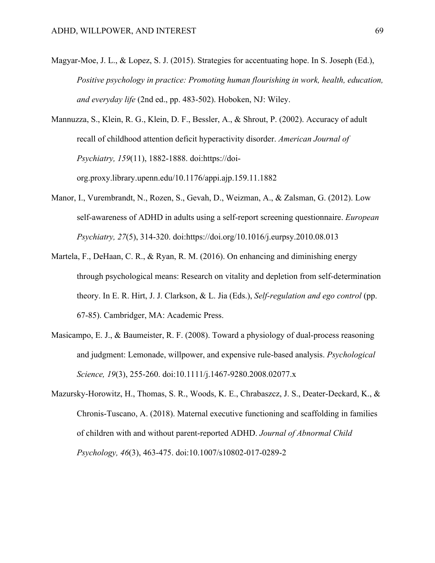Magyar‐Moe, J. L., & Lopez, S. J. (2015). Strategies for accentuating hope. In S. Joseph (Ed.), *Positive psychology in practice: Promoting human flourishing in work, health, education, and everyday life* (2nd ed., pp. 483-502). Hoboken, NJ: Wiley.

Mannuzza, S., Klein, R. G., Klein, D. F., Bessler, A., & Shrout, P. (2002). Accuracy of adult recall of childhood attention deficit hyperactivity disorder. *American Journal of Psychiatry, 159*(11), 1882-1888. doi:https://doiorg.proxy.library.upenn.edu/10.1176/appi.ajp.159.11.1882

- Manor, I., Vurembrandt, N., Rozen, S., Gevah, D., Weizman, A., & Zalsman, G. (2012). Low self-awareness of ADHD in adults using a self-report screening questionnaire. *European Psychiatry, 27*(5), 314-320. doi:https://doi.org/10.1016/j.eurpsy.2010.08.013
- Martela, F., DeHaan, C. R., & Ryan, R. M. (2016). On enhancing and diminishing energy through psychological means: Research on vitality and depletion from self-determination theory. In E. R. Hirt, J. J. Clarkson, & L. Jia (Eds.), *Self-regulation and ego control* (pp. 67-85). Cambridger, MA: Academic Press.
- Masicampo, E. J., & Baumeister, R. F. (2008). Toward a physiology of dual-process reasoning and judgment: Lemonade, willpower, and expensive rule-based analysis. *Psychological Science, 19*(3), 255-260. doi:10.1111/j.1467-9280.2008.02077.x
- Mazursky-Horowitz, H., Thomas, S. R., Woods, K. E., Chrabaszcz, J. S., Deater-Deckard, K., & Chronis-Tuscano, A. (2018). Maternal executive functioning and scaffolding in families of children with and without parent-reported ADHD. *Journal of Abnormal Child Psychology, 46*(3), 463-475. doi:10.1007/s10802-017-0289-2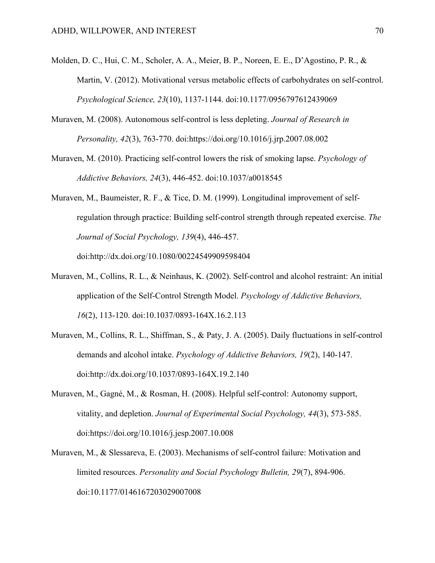- Molden, D. C., Hui, C. M., Scholer, A. A., Meier, B. P., Noreen, E. E., D'Agostino, P. R., & Martin, V. (2012). Motivational versus metabolic effects of carbohydrates on self-control. *Psychological Science, 23*(10), 1137-1144. doi:10.1177/0956797612439069
- Muraven, M. (2008). Autonomous self-control is less depleting. *Journal of Research in Personality, 42*(3), 763-770. doi:https://doi.org/10.1016/j.jrp.2007.08.002
- Muraven, M. (2010). Practicing self-control lowers the risk of smoking lapse. *Psychology of Addictive Behaviors, 24*(3), 446-452. doi:10.1037/a0018545
- Muraven, M., Baumeister, R. F., & Tice, D. M. (1999). Longitudinal improvement of selfregulation through practice: Building self-control strength through repeated exercise. *The Journal of Social Psychology, 139*(4), 446-457.

doi:http://dx.doi.org/10.1080/00224549909598404

- Muraven, M., Collins, R. L., & Neinhaus, K. (2002). Self-control and alcohol restraint: An initial application of the Self-Control Strength Model. *Psychology of Addictive Behaviors, 16*(2), 113-120. doi:10.1037/0893-164X.16.2.113
- Muraven, M., Collins, R. L., Shiffman, S., & Paty, J. A. (2005). Daily fluctuations in self-control demands and alcohol intake. *Psychology of Addictive Behaviors, 19*(2), 140-147. doi:http://dx.doi.org/10.1037/0893-164X.19.2.140
- Muraven, M., Gagné, M., & Rosman, H. (2008). Helpful self-control: Autonomy support, vitality, and depletion. *Journal of Experimental Social Psychology, 44*(3), 573-585. doi:https://doi.org/10.1016/j.jesp.2007.10.008
- Muraven, M., & Slessareva, E. (2003). Mechanisms of self-control failure: Motivation and limited resources. *Personality and Social Psychology Bulletin, 29*(7), 894-906. doi:10.1177/0146167203029007008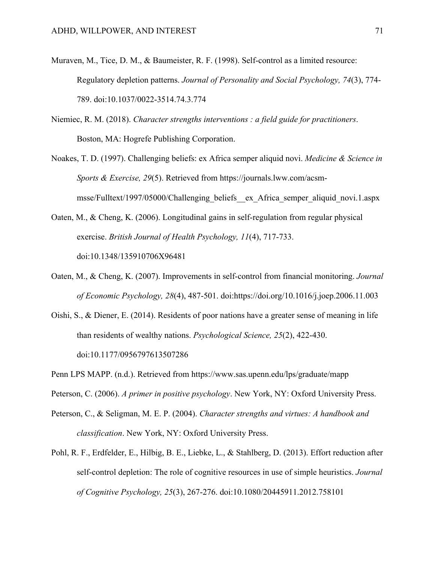- Muraven, M., Tice, D. M., & Baumeister, R. F. (1998). Self-control as a limited resource: Regulatory depletion patterns. *Journal of Personality and Social Psychology, 74*(3), 774- 789. doi:10.1037/0022-3514.74.3.774
- Niemiec, R. M. (2018). *Character strengths interventions : a field guide for practitioners*. Boston, MA: Hogrefe Publishing Corporation.
- Noakes, T. D. (1997). Challenging beliefs: ex Africa semper aliquid novi. *Medicine & Science in Sports & Exercise, 29*(5). Retrieved from https://journals.lww.com/acsmmsse/Fulltext/1997/05000/Challenging\_beliefs\_\_ex\_Africa\_semper\_aliquid\_novi.1.aspx
- Oaten, M., & Cheng, K. (2006). Longitudinal gains in self-regulation from regular physical exercise. *British Journal of Health Psychology, 11*(4), 717-733. doi:10.1348/135910706X96481
- Oaten, M., & Cheng, K. (2007). Improvements in self-control from financial monitoring. *Journal of Economic Psychology, 28*(4), 487-501. doi:https://doi.org/10.1016/j.joep.2006.11.003
- Oishi, S., & Diener, E. (2014). Residents of poor nations have a greater sense of meaning in life than residents of wealthy nations. *Psychological Science, 25*(2), 422-430. doi:10.1177/0956797613507286
- Penn LPS MAPP. (n.d.). Retrieved from https://www.sas.upenn.edu/lps/graduate/mapp
- Peterson, C. (2006). *A primer in positive psychology*. New York, NY: Oxford University Press.
- Peterson, C., & Seligman, M. E. P. (2004). *Character strengths and virtues: A handbook and classification*. New York, NY: Oxford University Press.
- Pohl, R. F., Erdfelder, E., Hilbig, B. E., Liebke, L., & Stahlberg, D. (2013). Effort reduction after self-control depletion: The role of cognitive resources in use of simple heuristics. *Journal of Cognitive Psychology, 25*(3), 267-276. doi:10.1080/20445911.2012.758101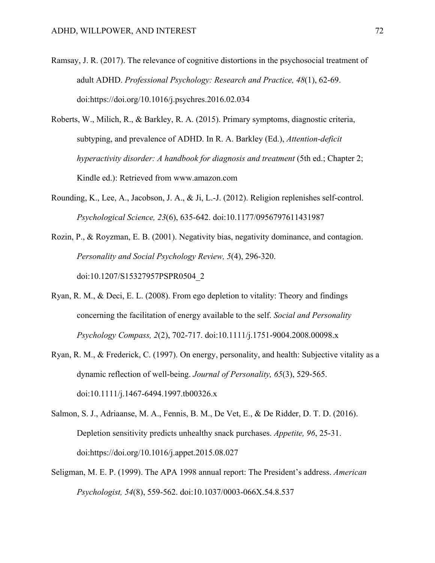- Ramsay, J. R. (2017). The relevance of cognitive distortions in the psychosocial treatment of adult ADHD. *Professional Psychology: Research and Practice, 48*(1), 62-69. doi:https://doi.org/10.1016/j.psychres.2016.02.034
- Roberts, W., Milich, R., & Barkley, R. A. (2015). Primary symptoms, diagnostic criteria, subtyping, and prevalence of ADHD. In R. A. Barkley (Ed.), *Attention-deficit hyperactivity disorder: A handbook for diagnosis and treatment* (5th ed.; Chapter 2; Kindle ed.): Retrieved from www.amazon.com
- Rounding, K., Lee, A., Jacobson, J. A., & Ji, L.-J. (2012). Religion replenishes self-control. *Psychological Science, 23*(6), 635-642. doi:10.1177/0956797611431987
- Rozin, P., & Royzman, E. B. (2001). Negativity bias, negativity dominance, and contagion. *Personality and Social Psychology Review, 5*(4), 296-320. doi:10.1207/S15327957PSPR0504\_2
- Ryan, R. M., & Deci, E. L. (2008). From ego depletion to vitality: Theory and findings concerning the facilitation of energy available to the self. *Social and Personality Psychology Compass, 2*(2), 702-717. doi:10.1111/j.1751-9004.2008.00098.x
- Ryan, R. M., & Frederick, C. (1997). On energy, personality, and health: Subjective vitality as a dynamic reflection of well‐being. *Journal of Personality, 65*(3), 529-565. doi:10.1111/j.1467-6494.1997.tb00326.x
- Salmon, S. J., Adriaanse, M. A., Fennis, B. M., De Vet, E., & De Ridder, D. T. D. (2016). Depletion sensitivity predicts unhealthy snack purchases. *Appetite, 96*, 25-31. doi:https://doi.org/10.1016/j.appet.2015.08.027
- Seligman, M. E. P. (1999). The APA 1998 annual report: The President's address. *American Psychologist, 54*(8), 559-562. doi:10.1037/0003-066X.54.8.537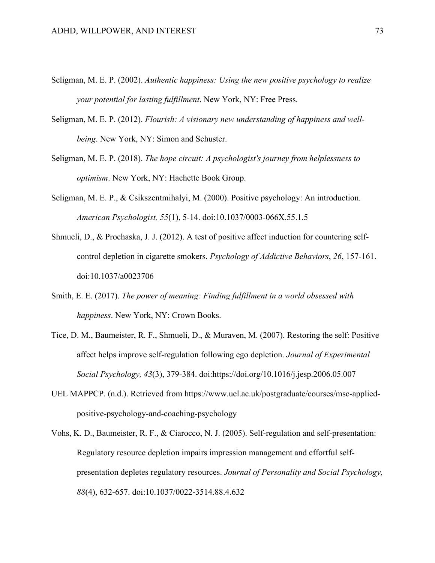- Seligman, M. E. P. (2002). *Authentic happiness: Using the new positive psychology to realize your potential for lasting fulfillment*. New York, NY: Free Press.
- Seligman, M. E. P. (2012). *Flourish: A visionary new understanding of happiness and wellbeing*. New York, NY: Simon and Schuster.
- Seligman, M. E. P. (2018). *The hope circuit: A psychologist's journey from helplessness to optimism*. New York, NY: Hachette Book Group.
- Seligman, M. E. P., & Csikszentmihalyi, M. (2000). Positive psychology: An introduction. *American Psychologist, 55*(1), 5-14. doi:10.1037/0003-066X.55.1.5
- Shmueli, D., & Prochaska, J. J. (2012). A test of positive affect induction for countering selfcontrol depletion in cigarette smokers. *Psychology of Addictive Behaviors*, *26*, 157-161. doi:10.1037/a0023706
- Smith, E. E. (2017). *The power of meaning: Finding fulfillment in a world obsessed with happiness*. New York, NY: Crown Books.
- Tice, D. M., Baumeister, R. F., Shmueli, D., & Muraven, M. (2007). Restoring the self: Positive affect helps improve self-regulation following ego depletion. *Journal of Experimental Social Psychology, 43*(3), 379-384. doi:https://doi.org/10.1016/j.jesp.2006.05.007
- UEL MAPPCP. (n.d.). Retrieved from https://www.uel.ac.uk/postgraduate/courses/msc-appliedpositive-psychology-and-coaching-psychology
- Vohs, K. D., Baumeister, R. F., & Ciarocco, N. J. (2005). Self-regulation and self-presentation: Regulatory resource depletion impairs impression management and effortful selfpresentation depletes regulatory resources. *Journal of Personality and Social Psychology, 88*(4), 632-657. doi:10.1037/0022-3514.88.4.632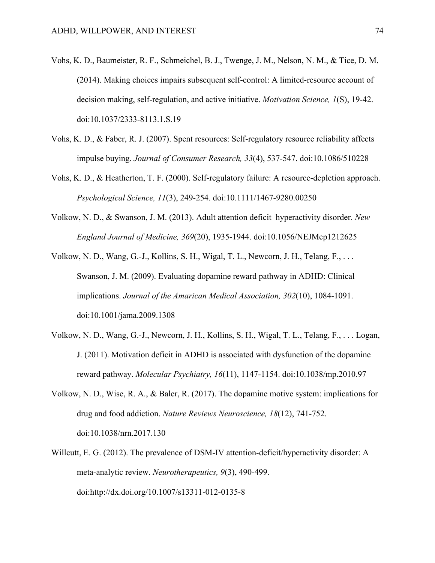- Vohs, K. D., Baumeister, R. F., Schmeichel, B. J., Twenge, J. M., Nelson, N. M., & Tice, D. M. (2014). Making choices impairs subsequent self-control: A limited-resource account of decision making, self-regulation, and active initiative. *Motivation Science, 1*(S), 19-42. doi:10.1037/2333-8113.1.S.19
- Vohs, K. D., & Faber, R. J. (2007). Spent resources: Self-regulatory resource reliability affects impulse buying. *Journal of Consumer Research, 33*(4), 537-547. doi:10.1086/510228
- Vohs, K. D., & Heatherton, T. F. (2000). Self-regulatory failure: A resource-depletion approach. *Psychological Science, 11*(3), 249-254. doi:10.1111/1467-9280.00250
- Volkow, N. D., & Swanson, J. M. (2013). Adult attention deficit–hyperactivity disorder. *New England Journal of Medicine, 369*(20), 1935-1944. doi:10.1056/NEJMcp1212625
- Volkow, N. D., Wang, G.-J., Kollins, S. H., Wigal, T. L., Newcorn, J. H., Telang, F., . . . Swanson, J. M. (2009). Evaluating dopamine reward pathway in ADHD: Clinical implications. *Journal of the Amarican Medical Association, 302*(10), 1084-1091. doi:10.1001/jama.2009.1308
- Volkow, N. D., Wang, G.-J., Newcorn, J. H., Kollins, S. H., Wigal, T. L., Telang, F., . . . Logan, J. (2011). Motivation deficit in ADHD is associated with dysfunction of the dopamine reward pathway. *Molecular Psychiatry, 16*(11), 1147-1154. doi:10.1038/mp.2010.97
- Volkow, N. D., Wise, R. A., & Baler, R. (2017). The dopamine motive system: implications for drug and food addiction. *Nature Reviews Neuroscience, 18*(12), 741-752. doi:10.1038/nrn.2017.130
- Willcutt, E. G. (2012). The prevalence of DSM-IV attention-deficit/hyperactivity disorder: A meta-analytic review. *Neurotherapeutics, 9*(3), 490-499. doi:http://dx.doi.org/10.1007/s13311-012-0135-8